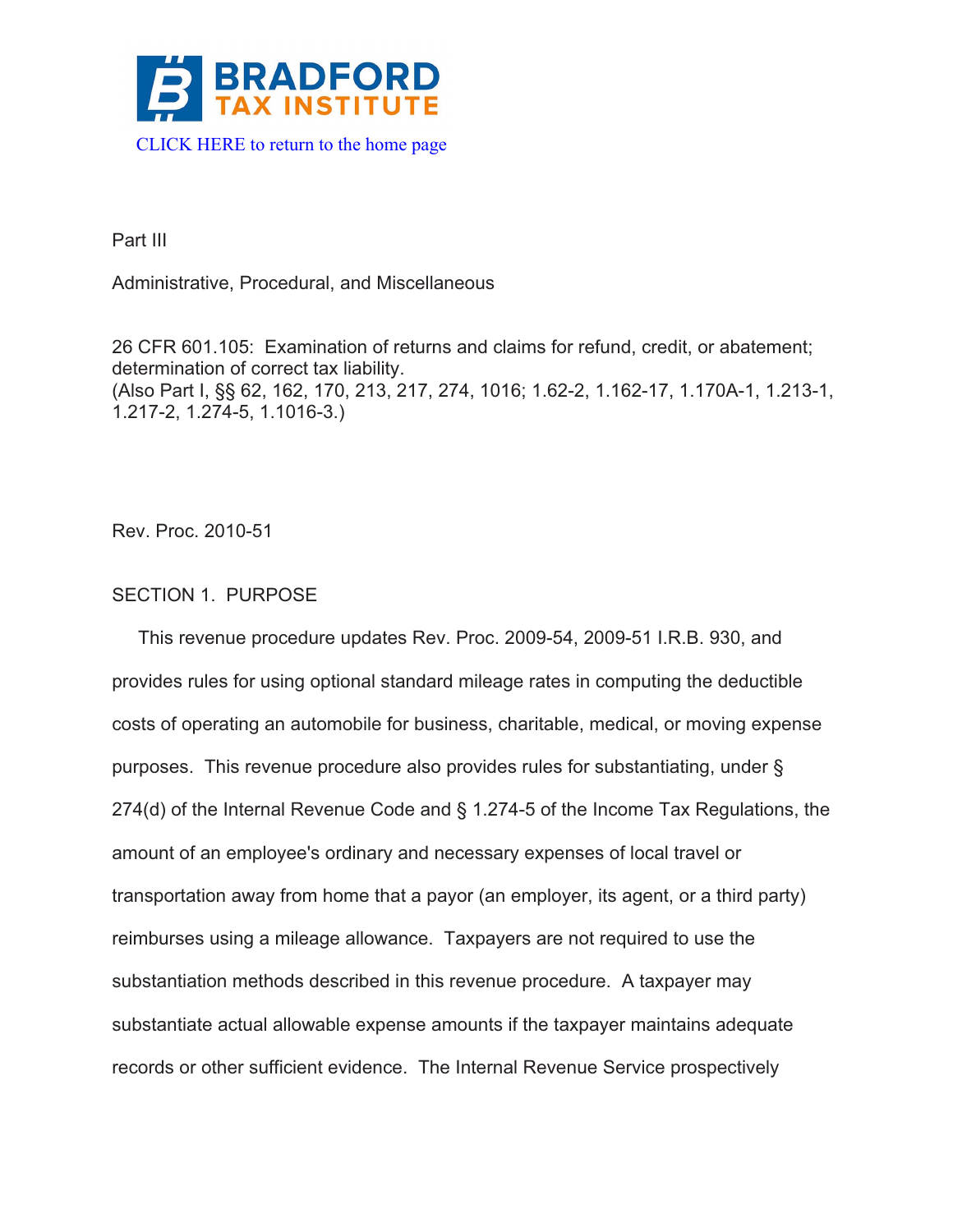

Part III

Administrative, Procedural, and Miscellaneous

26 CFR 601.105: Examination of returns and claims for refund, credit, or abatement; determination of correct tax liability. (Also Part I, §§ 62, 162, 170, 213, 217, 274, 1016; 1.62-2, 1.162-17, 1.170A-1, 1.213-1, 1.217-2, 1.274-5, 1.1016-3.)

Rev. Proc. 2010-51

# SECTION 1. PURPOSE

 This revenue procedure updates Rev. Proc. 2009-54, 2009-51 I.R.B. 930, and provides rules for using optional standard mileage rates in computing the deductible costs of operating an automobile for business, charitable, medical, or moving expense purposes. This revenue procedure also provides rules for substantiating, under § 274(d) of the Internal Revenue Code and § 1.274-5 of the Income Tax Regulations, the amount of an employee's ordinary and necessary expenses of local travel or transportation away from home that a payor (an employer, its agent, or a third party) reimburses using a mileage allowance. Taxpayers are not required to use the substantiation methods described in this revenue procedure. A taxpayer may substantiate actual allowable expense amounts if the taxpayer maintains adequate records or other sufficient evidence. The Internal Revenue Service prospectively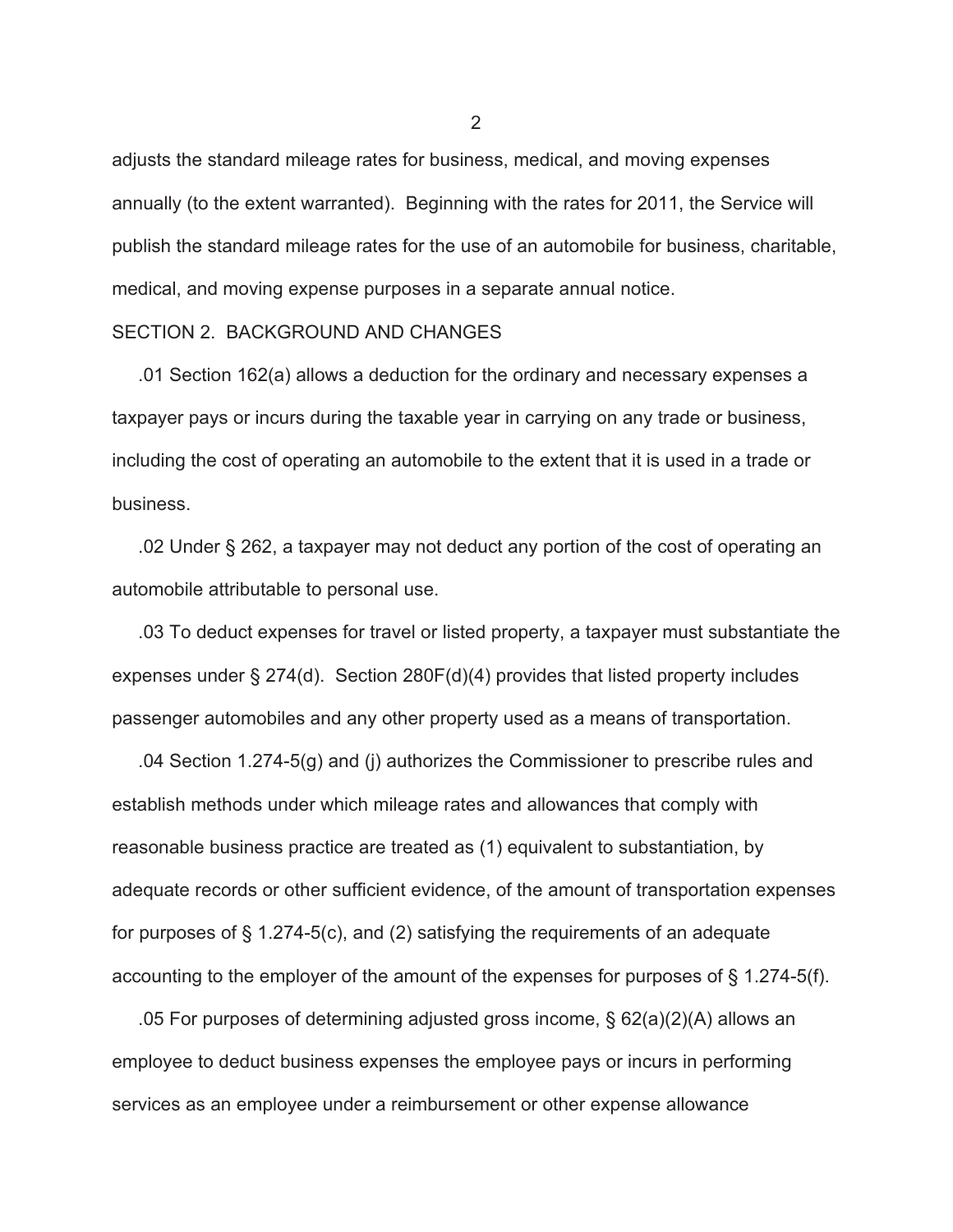adjusts the standard mileage rates for business, medical, and moving expenses annually (to the extent warranted). Beginning with the rates for 2011, the Service will publish the standard mileage rates for the use of an automobile for business, charitable, medical, and moving expense purposes in a separate annual notice.

#### SECTION 2. BACKGROUND AND CHANGES

 .01 Section 162(a) allows a deduction for the ordinary and necessary expenses a taxpayer pays or incurs during the taxable year in carrying on any trade or business, including the cost of operating an automobile to the extent that it is used in a trade or business.

 .02 Under § 262, a taxpayer may not deduct any portion of the cost of operating an automobile attributable to personal use.

 .03 To deduct expenses for travel or listed property, a taxpayer must substantiate the expenses under § 274(d). Section 280F(d)(4) provides that listed property includes passenger automobiles and any other property used as a means of transportation.

 .04 Section 1.274-5(g) and (j) authorizes the Commissioner to prescribe rules and establish methods under which mileage rates and allowances that comply with reasonable business practice are treated as (1) equivalent to substantiation, by adequate records or other sufficient evidence, of the amount of transportation expenses for purposes of § 1.274-5(c), and (2) satisfying the requirements of an adequate accounting to the employer of the amount of the expenses for purposes of § 1.274-5(f).

 .05 For purposes of determining adjusted gross income, § 62(a)(2)(A) allows an employee to deduct business expenses the employee pays or incurs in performing services as an employee under a reimbursement or other expense allowance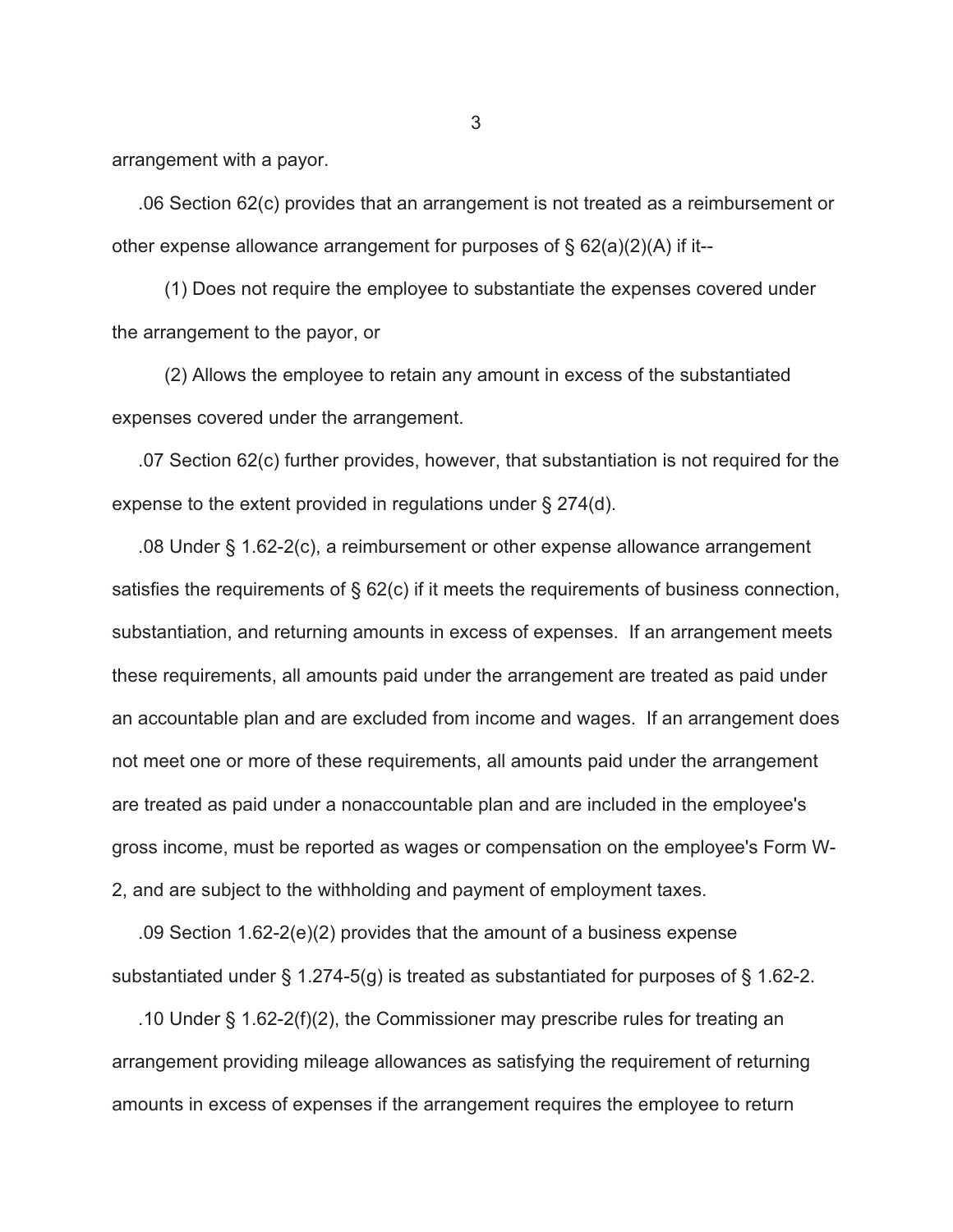arrangement with a payor.

 .06 Section 62(c) provides that an arrangement is not treated as a reimbursement or other expense allowance arrangement for purposes of  $\S 62(a)(2)(A)$  if it--

 (1) Does not require the employee to substantiate the expenses covered under the arrangement to the payor, or

 (2) Allows the employee to retain any amount in excess of the substantiated expenses covered under the arrangement.

 .07 Section 62(c) further provides, however, that substantiation is not required for the expense to the extent provided in regulations under § 274(d).

 .08 Under § 1.62-2(c), a reimbursement or other expense allowance arrangement satisfies the requirements of § 62(c) if it meets the requirements of business connection, substantiation, and returning amounts in excess of expenses. If an arrangement meets these requirements, all amounts paid under the arrangement are treated as paid under an accountable plan and are excluded from income and wages. If an arrangement does not meet one or more of these requirements, all amounts paid under the arrangement are treated as paid under a nonaccountable plan and are included in the employee's gross income, must be reported as wages or compensation on the employee's Form W-2, and are subject to the withholding and payment of employment taxes.

 .09 Section 1.62-2(e)(2) provides that the amount of a business expense substantiated under  $\S$  1.274-5(g) is treated as substantiated for purposes of  $\S$  1.62-2.

 .10 Under § 1.62-2(f)(2), the Commissioner may prescribe rules for treating an arrangement providing mileage allowances as satisfying the requirement of returning amounts in excess of expenses if the arrangement requires the employee to return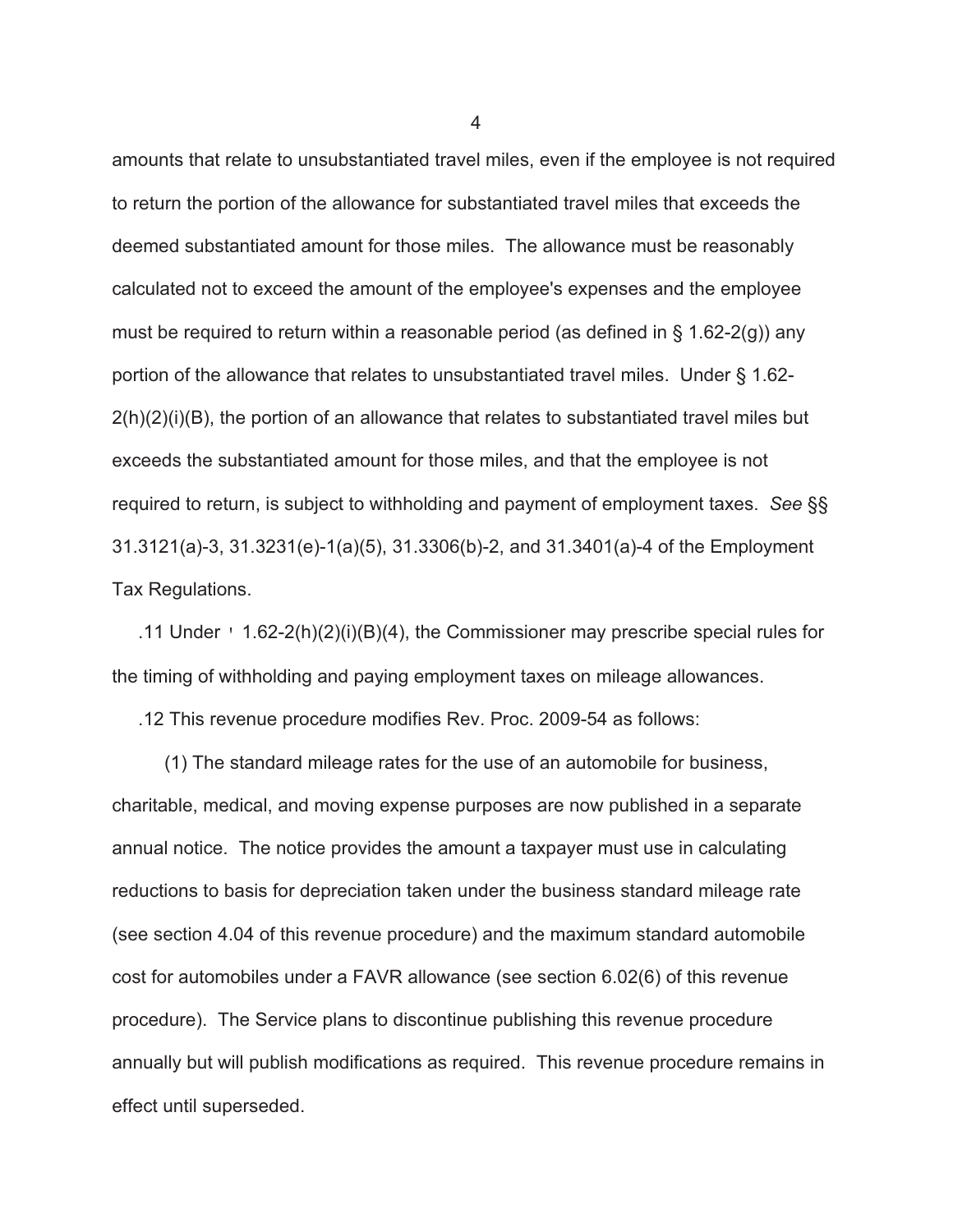amounts that relate to unsubstantiated travel miles, even if the employee is not required to return the portion of the allowance for substantiated travel miles that exceeds the deemed substantiated amount for those miles. The allowance must be reasonably calculated not to exceed the amount of the employee's expenses and the employee must be required to return within a reasonable period (as defined in  $\S$  1.62-2(g)) any portion of the allowance that relates to unsubstantiated travel miles. Under § 1.62-  $2(h)(2)(i)(B)$ , the portion of an allowance that relates to substantiated travel miles but exceeds the substantiated amount for those miles, and that the employee is not required to return, is subject to withholding and payment of employment taxes. *See* §§ 31.3121(a)-3, 31.3231(e)-1(a)(5), 31.3306(b)-2, and 31.3401(a)-4 of the Employment Tax Regulations.

 .11 Under ' 1.62-2(h)(2)(i)(B)(4), the Commissioner may prescribe special rules for the timing of withholding and paying employment taxes on mileage allowances.

.12 This revenue procedure modifies Rev. Proc. 2009-54 as follows:

 (1) The standard mileage rates for the use of an automobile for business, charitable, medical, and moving expense purposes are now published in a separate annual notice. The notice provides the amount a taxpayer must use in calculating reductions to basis for depreciation taken under the business standard mileage rate (see section 4.04 of this revenue procedure) and the maximum standard automobile cost for automobiles under a FAVR allowance (see section 6.02(6) of this revenue procedure). The Service plans to discontinue publishing this revenue procedure annually but will publish modifications as required. This revenue procedure remains in effect until superseded.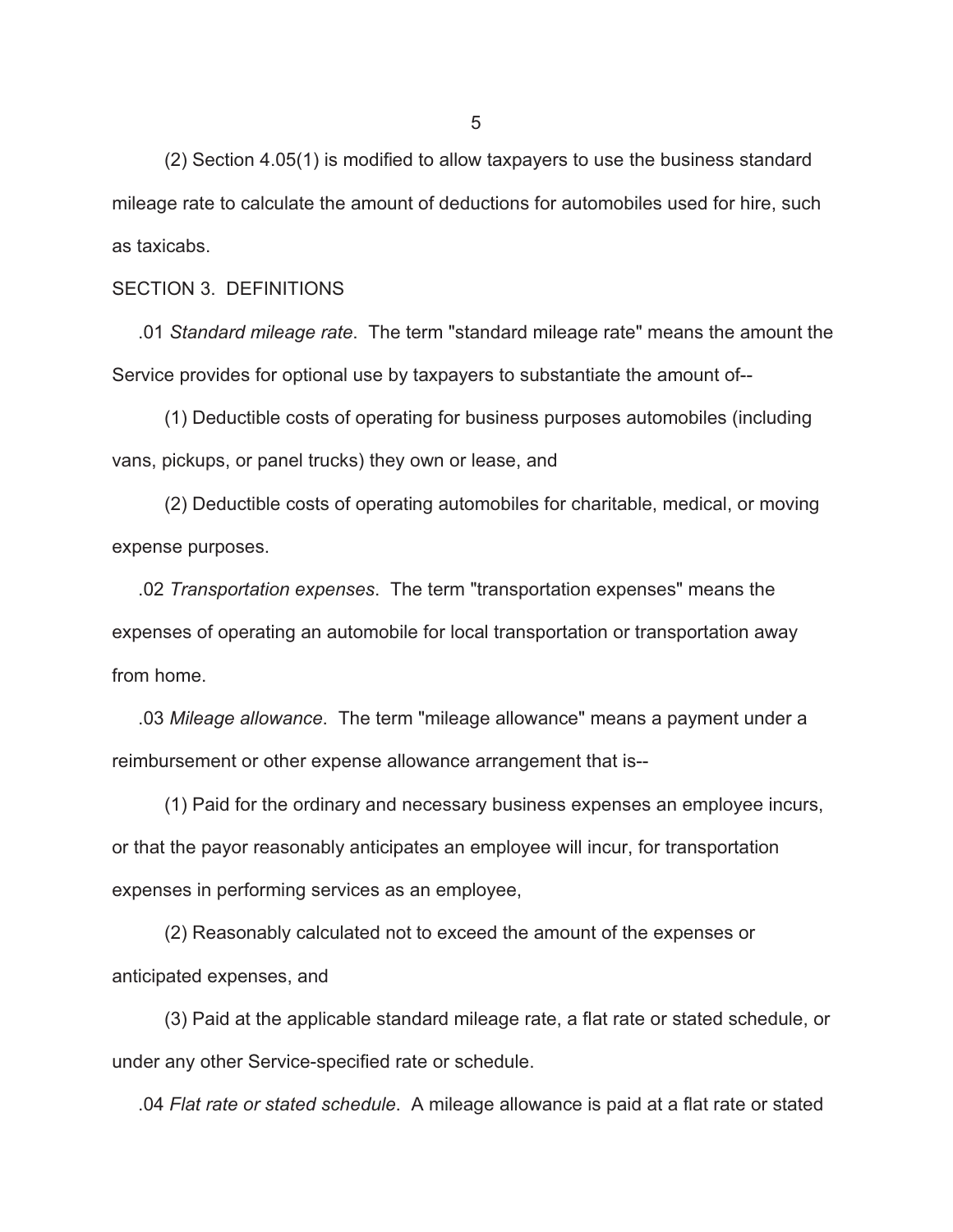(2) Section 4.05(1) is modified to allow taxpayers to use the business standard mileage rate to calculate the amount of deductions for automobiles used for hire, such as taxicabs.

#### SECTION 3. DEFINITIONS

 .01 *Standard mileage rate*. The term "standard mileage rate" means the amount the Service provides for optional use by taxpayers to substantiate the amount of--

 (1) Deductible costs of operating for business purposes automobiles (including vans, pickups, or panel trucks) they own or lease, and

 (2) Deductible costs of operating automobiles for charitable, medical, or moving expense purposes.

 .02 *Transportation expenses*. The term "transportation expenses" means the expenses of operating an automobile for local transportation or transportation away from home.

 .03 *Mileage allowance*. The term "mileage allowance" means a payment under a reimbursement or other expense allowance arrangement that is--

 (1) Paid for the ordinary and necessary business expenses an employee incurs, or that the payor reasonably anticipates an employee will incur, for transportation expenses in performing services as an employee,

 (2) Reasonably calculated not to exceed the amount of the expenses or anticipated expenses, and

 (3) Paid at the applicable standard mileage rate, a flat rate or stated schedule, or under any other Service-specified rate or schedule.

.04 *Flat rate or stated schedule*. A mileage allowance is paid at a flat rate or stated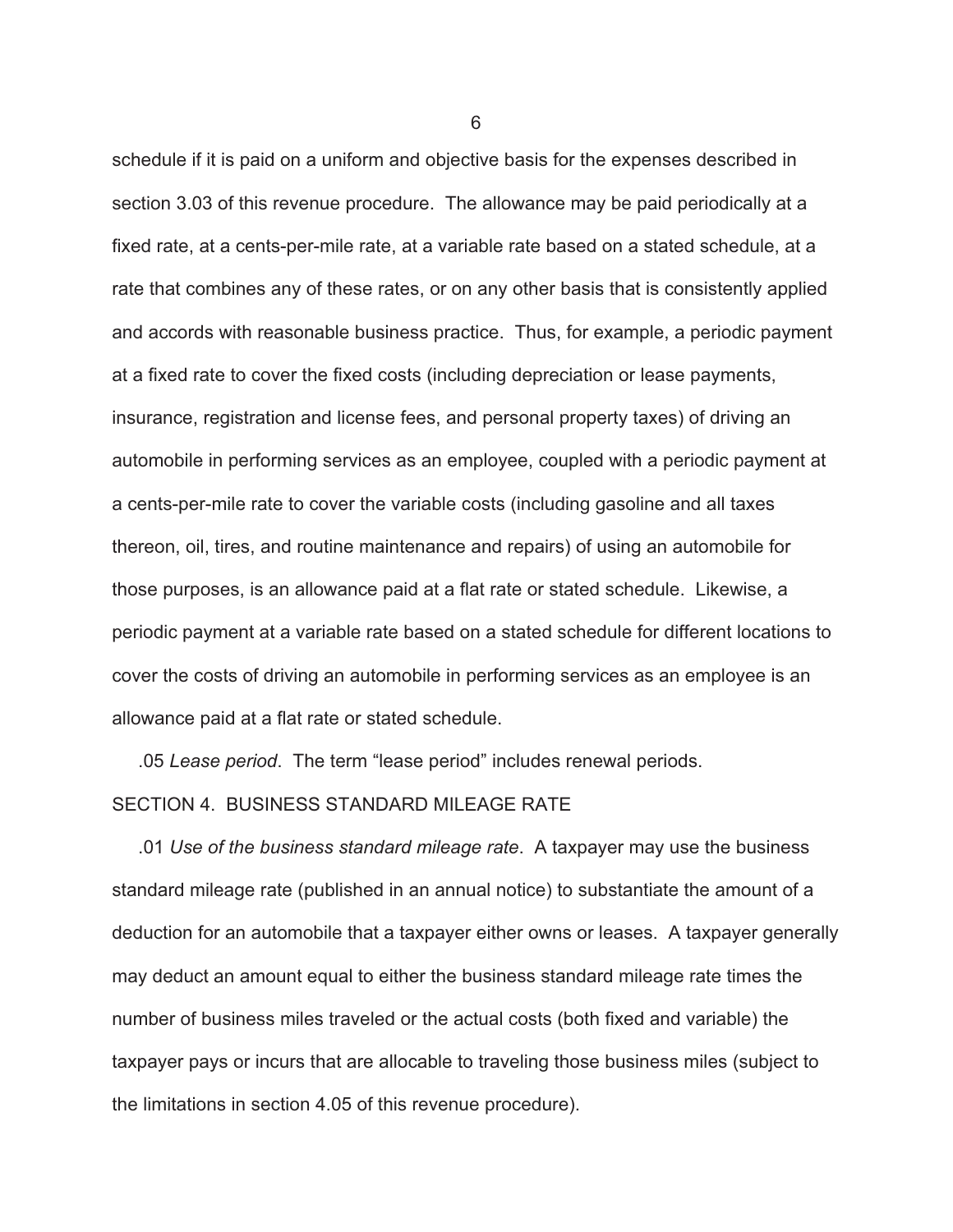schedule if it is paid on a uniform and objective basis for the expenses described in section 3.03 of this revenue procedure. The allowance may be paid periodically at a fixed rate, at a cents-per-mile rate, at a variable rate based on a stated schedule, at a rate that combines any of these rates, or on any other basis that is consistently applied and accords with reasonable business practice. Thus, for example, a periodic payment at a fixed rate to cover the fixed costs (including depreciation or lease payments, insurance, registration and license fees, and personal property taxes) of driving an automobile in performing services as an employee, coupled with a periodic payment at a cents-per-mile rate to cover the variable costs (including gasoline and all taxes thereon, oil, tires, and routine maintenance and repairs) of using an automobile for those purposes, is an allowance paid at a flat rate or stated schedule. Likewise, a periodic payment at a variable rate based on a stated schedule for different locations to cover the costs of driving an automobile in performing services as an employee is an allowance paid at a flat rate or stated schedule.

.05 *Lease period*. The term "lease period" includes renewal periods.

## SECTION 4. BUSINESS STANDARD MILEAGE RATE

 .01 *Use of the business standard mileage rate*. A taxpayer may use the business standard mileage rate (published in an annual notice) to substantiate the amount of a deduction for an automobile that a taxpayer either owns or leases. A taxpayer generally may deduct an amount equal to either the business standard mileage rate times the number of business miles traveled or the actual costs (both fixed and variable) the taxpayer pays or incurs that are allocable to traveling those business miles (subject to the limitations in section 4.05 of this revenue procedure).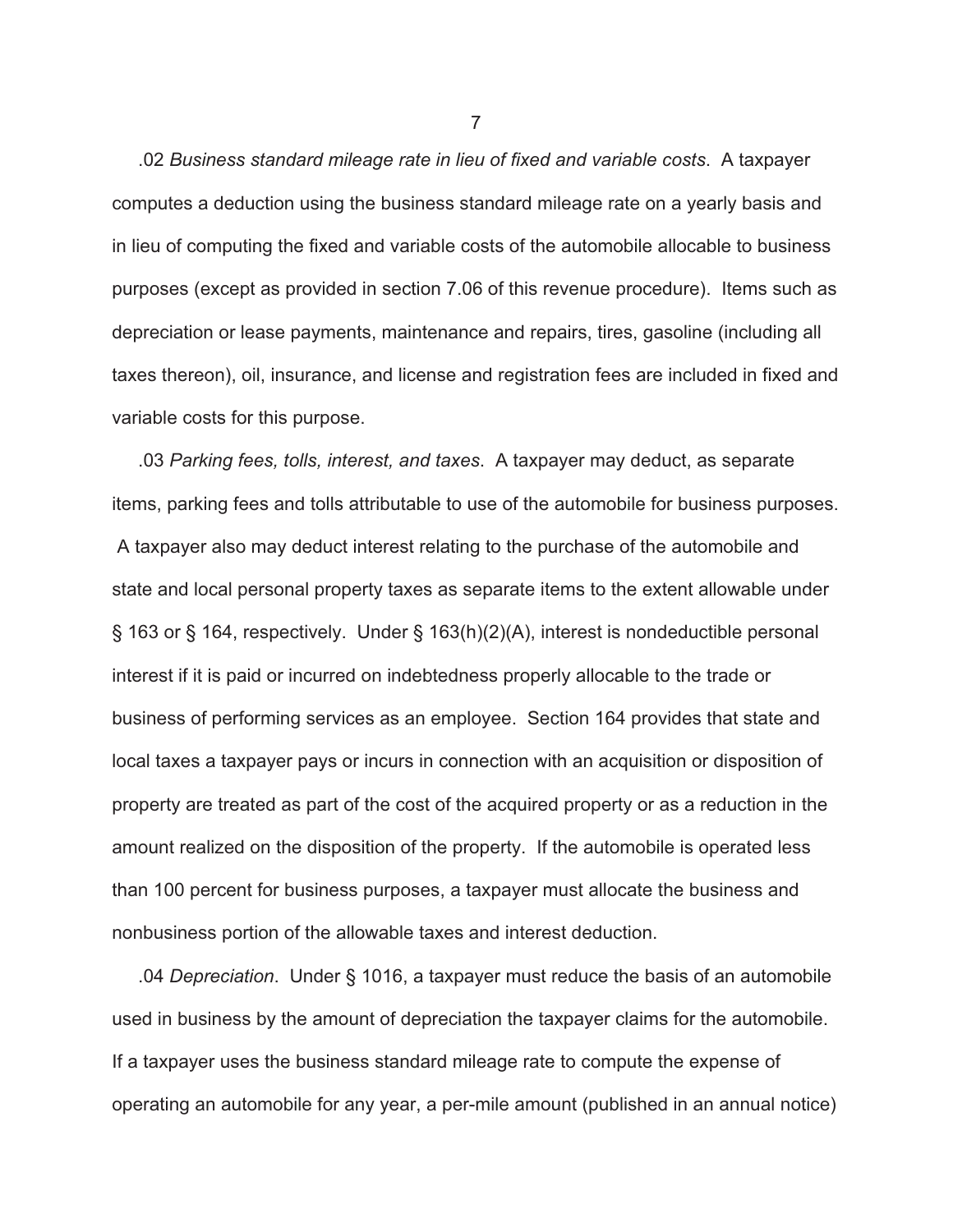.02 *Business standard mileage rate in lieu of fixed and variable costs*. A taxpayer computes a deduction using the business standard mileage rate on a yearly basis and in lieu of computing the fixed and variable costs of the automobile allocable to business purposes (except as provided in section 7.06 of this revenue procedure). Items such as depreciation or lease payments, maintenance and repairs, tires, gasoline (including all taxes thereon), oil, insurance, and license and registration fees are included in fixed and variable costs for this purpose.

 .03 *Parking fees, tolls, interest, and taxes*. A taxpayer may deduct, as separate items, parking fees and tolls attributable to use of the automobile for business purposes. A taxpayer also may deduct interest relating to the purchase of the automobile and state and local personal property taxes as separate items to the extent allowable under § 163 or § 164, respectively. Under § 163(h)(2)(A), interest is nondeductible personal interest if it is paid or incurred on indebtedness properly allocable to the trade or business of performing services as an employee. Section 164 provides that state and local taxes a taxpayer pays or incurs in connection with an acquisition or disposition of property are treated as part of the cost of the acquired property or as a reduction in the amount realized on the disposition of the property. If the automobile is operated less than 100 percent for business purposes, a taxpayer must allocate the business and nonbusiness portion of the allowable taxes and interest deduction.

 .04 *Depreciation*. Under § 1016, a taxpayer must reduce the basis of an automobile used in business by the amount of depreciation the taxpayer claims for the automobile. If a taxpayer uses the business standard mileage rate to compute the expense of operating an automobile for any year, a per-mile amount (published in an annual notice)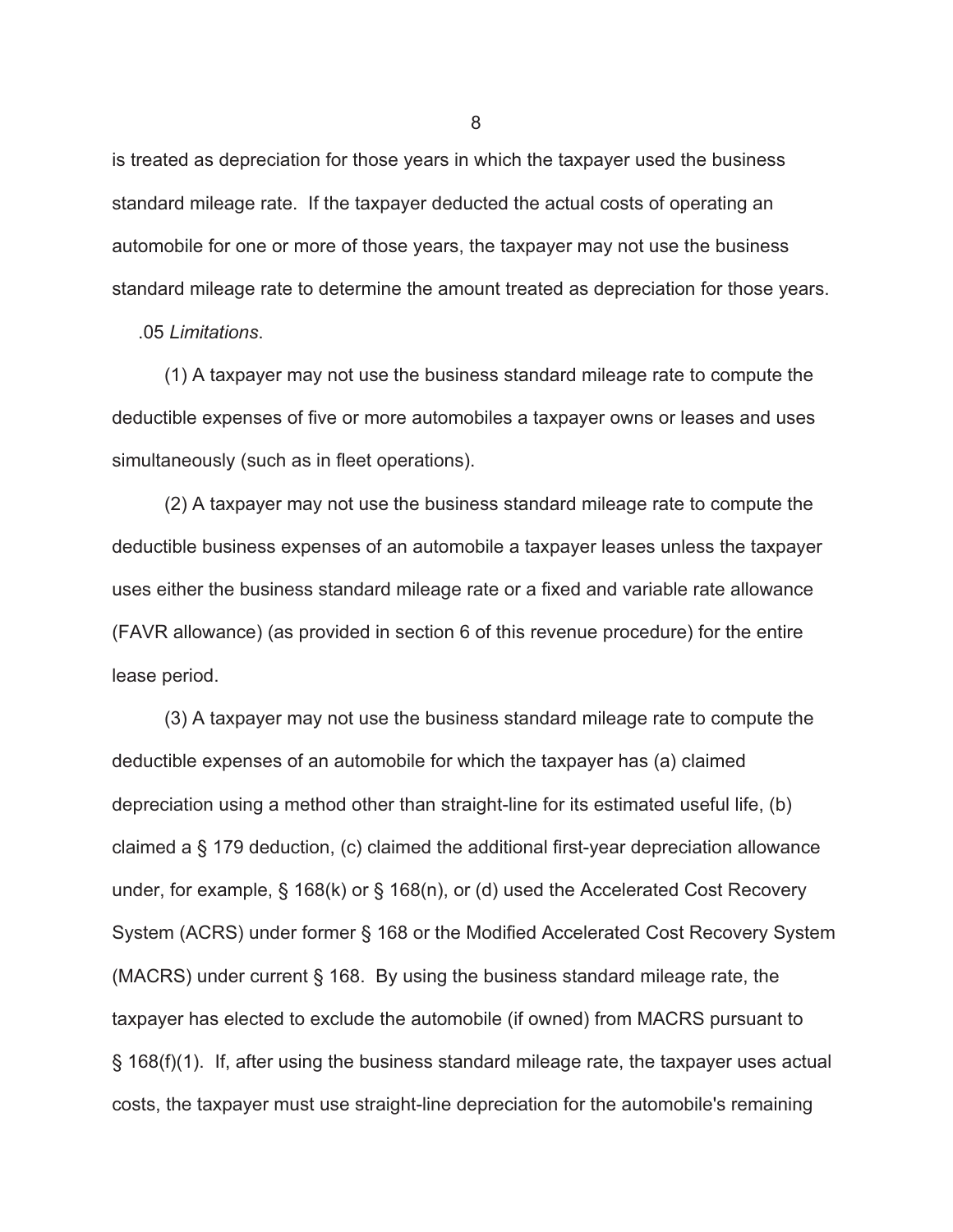is treated as depreciation for those years in which the taxpayer used the business standard mileage rate. If the taxpayer deducted the actual costs of operating an automobile for one or more of those years, the taxpayer may not use the business standard mileage rate to determine the amount treated as depreciation for those years.

.05 *Limitations*.

 (1) A taxpayer may not use the business standard mileage rate to compute the deductible expenses of five or more automobiles a taxpayer owns or leases and uses simultaneously (such as in fleet operations).

 (2) A taxpayer may not use the business standard mileage rate to compute the deductible business expenses of an automobile a taxpayer leases unless the taxpayer uses either the business standard mileage rate or a fixed and variable rate allowance (FAVR allowance) (as provided in section 6 of this revenue procedure) for the entire lease period.

 (3) A taxpayer may not use the business standard mileage rate to compute the deductible expenses of an automobile for which the taxpayer has (a) claimed depreciation using a method other than straight-line for its estimated useful life, (b) claimed a § 179 deduction, (c) claimed the additional first-year depreciation allowance under, for example, § 168(k) or § 168(n), or (d) used the Accelerated Cost Recovery System (ACRS) under former § 168 or the Modified Accelerated Cost Recovery System (MACRS) under current § 168. By using the business standard mileage rate, the taxpayer has elected to exclude the automobile (if owned) from MACRS pursuant to § 168(f)(1). If, after using the business standard mileage rate, the taxpayer uses actual costs, the taxpayer must use straight-line depreciation for the automobile's remaining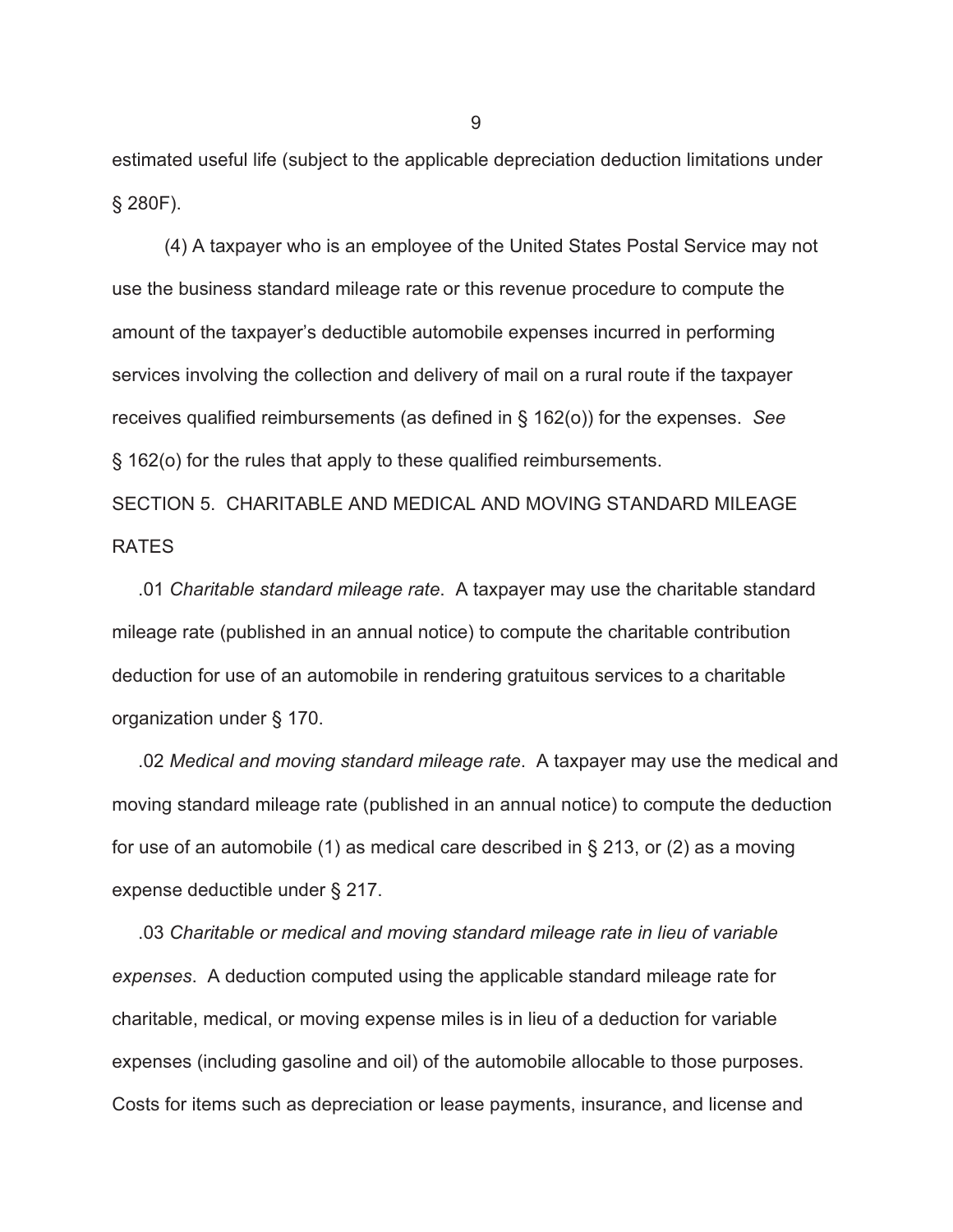estimated useful life (subject to the applicable depreciation deduction limitations under § 280F).

 (4) A taxpayer who is an employee of the United States Postal Service may not use the business standard mileage rate or this revenue procedure to compute the amount of the taxpayer's deductible automobile expenses incurred in performing services involving the collection and delivery of mail on a rural route if the taxpayer receives qualified reimbursements (as defined in § 162(o)) for the expenses. *See* § 162(o) for the rules that apply to these qualified reimbursements.

SECTION 5. CHARITABLE AND MEDICAL AND MOVING STANDARD MILEAGE RATES

 .01 *Charitable standard mileage rate*. A taxpayer may use the charitable standard mileage rate (published in an annual notice) to compute the charitable contribution deduction for use of an automobile in rendering gratuitous services to a charitable organization under § 170.

 .02 *Medical and moving standard mileage rate*. A taxpayer may use the medical and moving standard mileage rate (published in an annual notice) to compute the deduction for use of an automobile (1) as medical care described in § 213, or (2) as a moving expense deductible under § 217.

 .03 *Charitable or medical and moving standard mileage rate in lieu of variable expenses*. A deduction computed using the applicable standard mileage rate for charitable, medical, or moving expense miles is in lieu of a deduction for variable expenses (including gasoline and oil) of the automobile allocable to those purposes. Costs for items such as depreciation or lease payments, insurance, and license and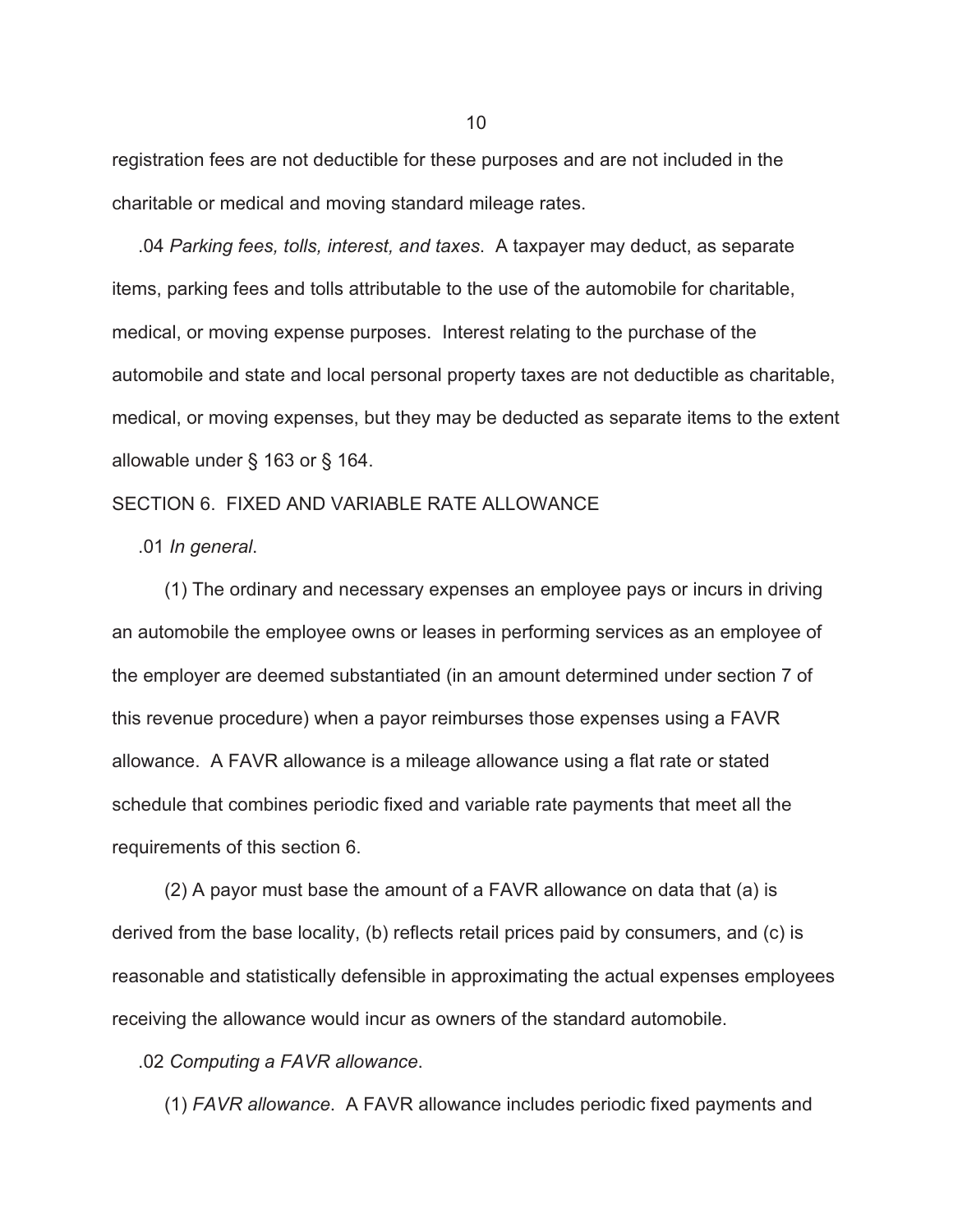registration fees are not deductible for these purposes and are not included in the charitable or medical and moving standard mileage rates.

 .04 *Parking fees, tolls, interest, and taxes*. A taxpayer may deduct, as separate items, parking fees and tolls attributable to the use of the automobile for charitable, medical, or moving expense purposes. Interest relating to the purchase of the automobile and state and local personal property taxes are not deductible as charitable, medical, or moving expenses, but they may be deducted as separate items to the extent allowable under § 163 or § 164.

#### SECTION 6. FIXED AND VARIABLE RATE ALLOWANCE

.01 *In general*.

 (1) The ordinary and necessary expenses an employee pays or incurs in driving an automobile the employee owns or leases in performing services as an employee of the employer are deemed substantiated (in an amount determined under section 7 of this revenue procedure) when a payor reimburses those expenses using a FAVR allowance. A FAVR allowance is a mileage allowance using a flat rate or stated schedule that combines periodic fixed and variable rate payments that meet all the requirements of this section 6.

 (2) A payor must base the amount of a FAVR allowance on data that (a) is derived from the base locality, (b) reflects retail prices paid by consumers, and (c) is reasonable and statistically defensible in approximating the actual expenses employees receiving the allowance would incur as owners of the standard automobile.

.02 *Computing a FAVR allowance*.

(1) *FAVR allowance*. A FAVR allowance includes periodic fixed payments and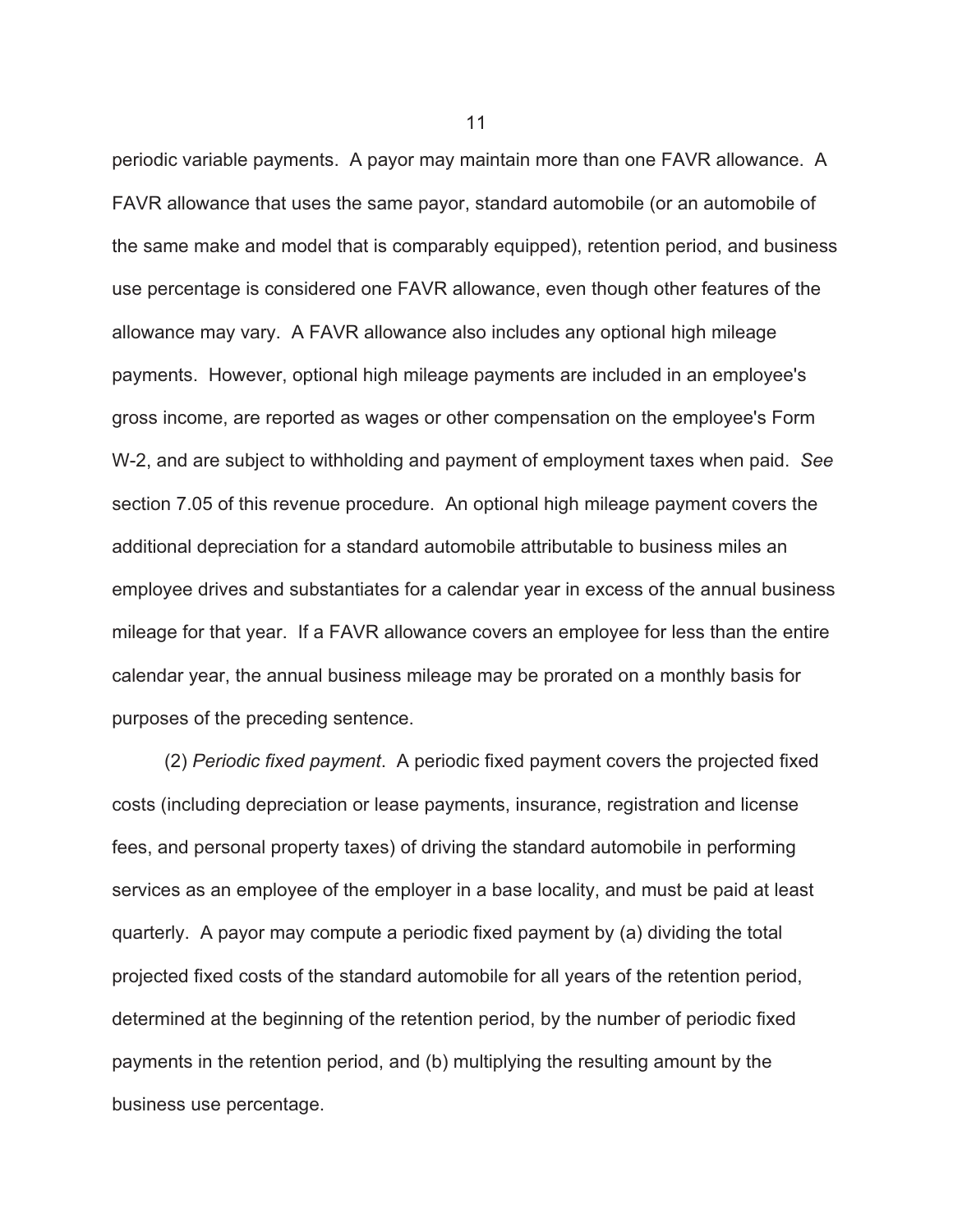periodic variable payments. A payor may maintain more than one FAVR allowance. A FAVR allowance that uses the same payor, standard automobile (or an automobile of the same make and model that is comparably equipped), retention period, and business use percentage is considered one FAVR allowance, even though other features of the allowance may vary. A FAVR allowance also includes any optional high mileage payments. However, optional high mileage payments are included in an employee's gross income, are reported as wages or other compensation on the employee's Form W-2, and are subject to withholding and payment of employment taxes when paid. *See* section 7.05 of this revenue procedure. An optional high mileage payment covers the additional depreciation for a standard automobile attributable to business miles an employee drives and substantiates for a calendar year in excess of the annual business mileage for that year. If a FAVR allowance covers an employee for less than the entire calendar year, the annual business mileage may be prorated on a monthly basis for purposes of the preceding sentence.

 (2) *Periodic fixed payment*. A periodic fixed payment covers the projected fixed costs (including depreciation or lease payments, insurance, registration and license fees, and personal property taxes) of driving the standard automobile in performing services as an employee of the employer in a base locality, and must be paid at least quarterly. A payor may compute a periodic fixed payment by (a) dividing the total projected fixed costs of the standard automobile for all years of the retention period, determined at the beginning of the retention period, by the number of periodic fixed payments in the retention period, and (b) multiplying the resulting amount by the business use percentage.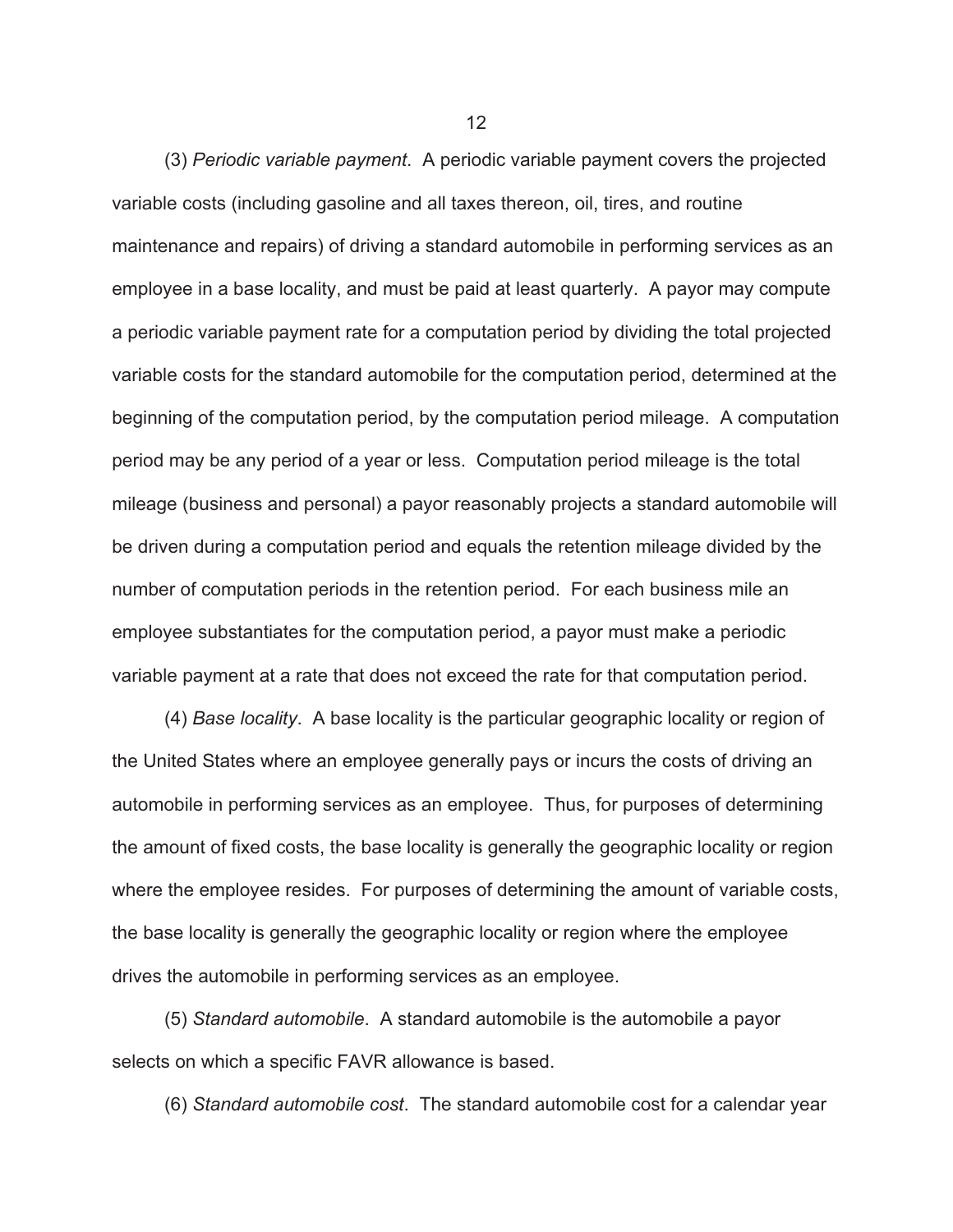(3) *Periodic variable payment*. A periodic variable payment covers the projected variable costs (including gasoline and all taxes thereon, oil, tires, and routine maintenance and repairs) of driving a standard automobile in performing services as an employee in a base locality, and must be paid at least quarterly. A payor may compute a periodic variable payment rate for a computation period by dividing the total projected variable costs for the standard automobile for the computation period, determined at the beginning of the computation period, by the computation period mileage. A computation period may be any period of a year or less. Computation period mileage is the total mileage (business and personal) a payor reasonably projects a standard automobile will be driven during a computation period and equals the retention mileage divided by the number of computation periods in the retention period. For each business mile an employee substantiates for the computation period, a payor must make a periodic variable payment at a rate that does not exceed the rate for that computation period.

 (4) *Base locality*. A base locality is the particular geographic locality or region of the United States where an employee generally pays or incurs the costs of driving an automobile in performing services as an employee. Thus, for purposes of determining the amount of fixed costs, the base locality is generally the geographic locality or region where the employee resides. For purposes of determining the amount of variable costs, the base locality is generally the geographic locality or region where the employee drives the automobile in performing services as an employee.

 (5) *Standard automobile*. A standard automobile is the automobile a payor selects on which a specific FAVR allowance is based.

(6) *Standard automobile cost*. The standard automobile cost for a calendar year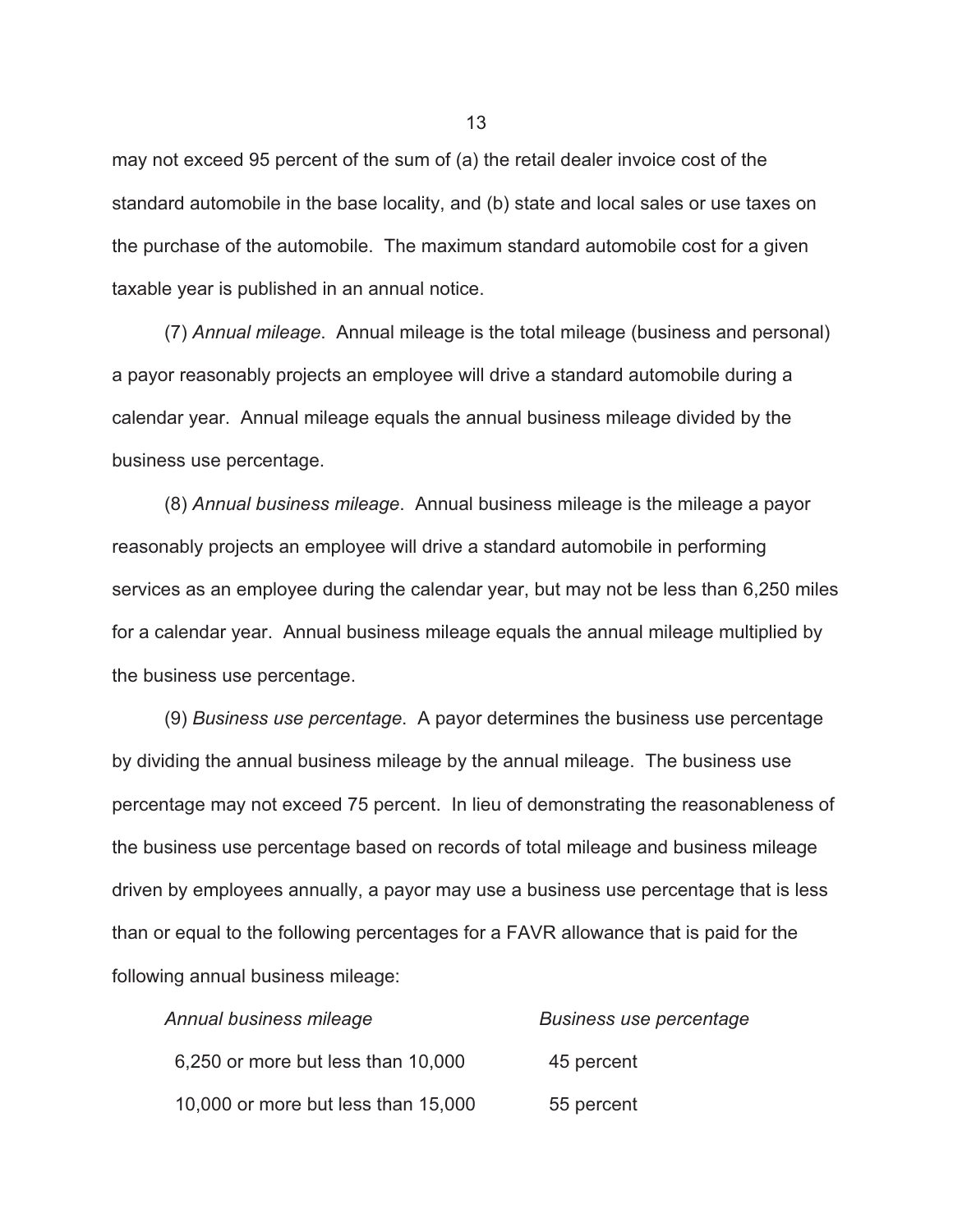may not exceed 95 percent of the sum of (a) the retail dealer invoice cost of the standard automobile in the base locality, and (b) state and local sales or use taxes on the purchase of the automobile. The maximum standard automobile cost for a given taxable year is published in an annual notice.

 (7) *Annual mileage*. Annual mileage is the total mileage (business and personal) a payor reasonably projects an employee will drive a standard automobile during a calendar year. Annual mileage equals the annual business mileage divided by the business use percentage.

 (8) *Annual business mileage*. Annual business mileage is the mileage a payor reasonably projects an employee will drive a standard automobile in performing services as an employee during the calendar year, but may not be less than 6,250 miles for a calendar year. Annual business mileage equals the annual mileage multiplied by the business use percentage.

 (9) *Business use percentage*. A payor determines the business use percentage by dividing the annual business mileage by the annual mileage. The business use percentage may not exceed 75 percent. In lieu of demonstrating the reasonableness of the business use percentage based on records of total mileage and business mileage driven by employees annually, a payor may use a business use percentage that is less than or equal to the following percentages for a FAVR allowance that is paid for the following annual business mileage:

| Annual business mileage             | <b>Business use percentage</b> |  |
|-------------------------------------|--------------------------------|--|
| 6,250 or more but less than 10,000  | 45 percent                     |  |
| 10,000 or more but less than 15,000 | 55 percent                     |  |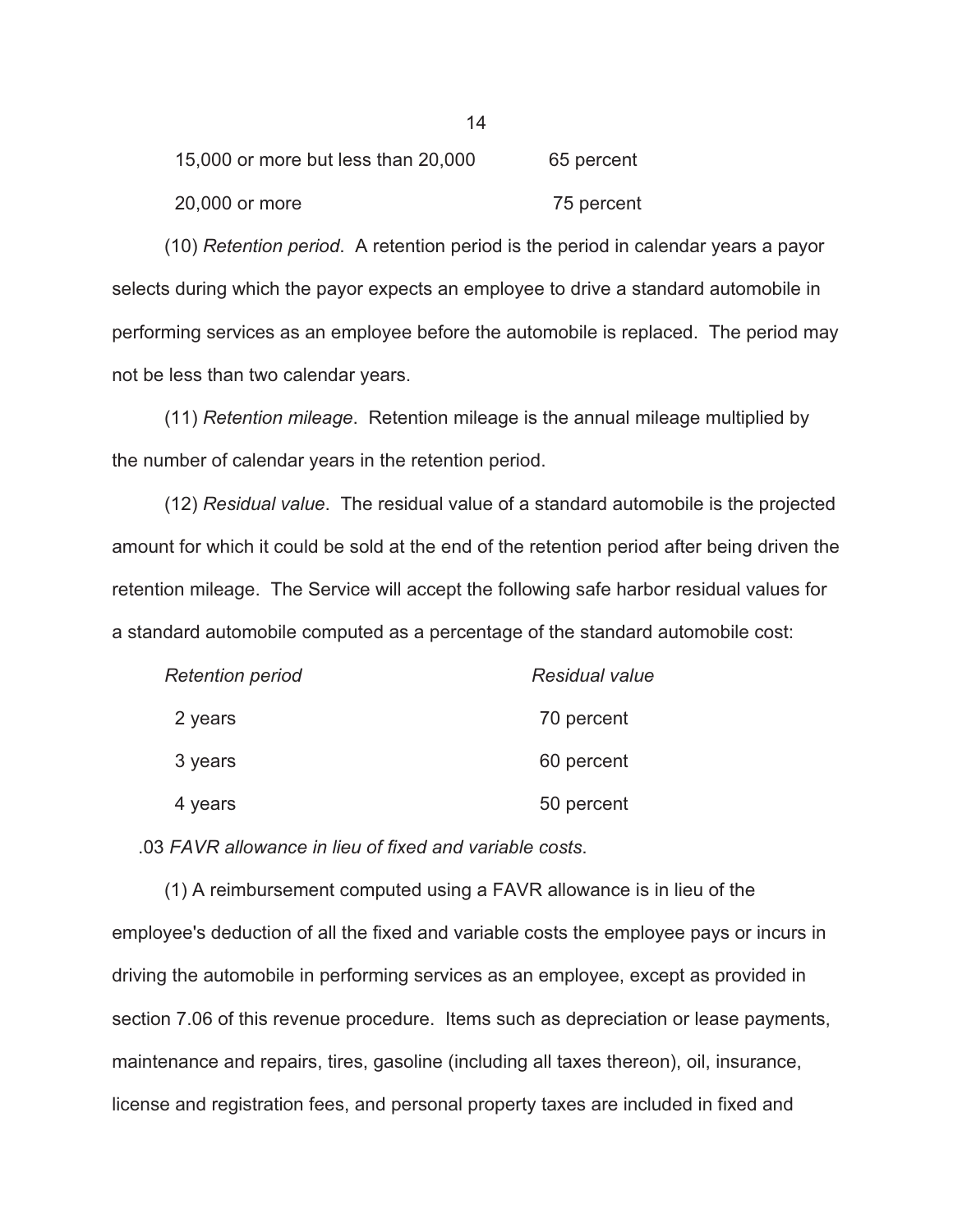| 15,000 or more but less than 20,000 | 65 percent |
|-------------------------------------|------------|
| 20,000 or more                      | 75 percent |

 (10) *Retention period*. A retention period is the period in calendar years a payor selects during which the payor expects an employee to drive a standard automobile in performing services as an employee before the automobile is replaced. The period may not be less than two calendar years.

 (11) *Retention mileage*. Retention mileage is the annual mileage multiplied by the number of calendar years in the retention period.

 (12) *Residual value*. The residual value of a standard automobile is the projected amount for which it could be sold at the end of the retention period after being driven the retention mileage. The Service will accept the following safe harbor residual values for a standard automobile computed as a percentage of the standard automobile cost:

| <b>Retention period</b> | <b>Residual value</b> |
|-------------------------|-----------------------|
| 2 years                 | 70 percent            |
| 3 years                 | 60 percent            |
| 4 years                 | 50 percent            |

.03 *FAVR allowance in lieu of fixed and variable costs*.

 (1) A reimbursement computed using a FAVR allowance is in lieu of the employee's deduction of all the fixed and variable costs the employee pays or incurs in driving the automobile in performing services as an employee, except as provided in section 7.06 of this revenue procedure. Items such as depreciation or lease payments, maintenance and repairs, tires, gasoline (including all taxes thereon), oil, insurance, license and registration fees, and personal property taxes are included in fixed and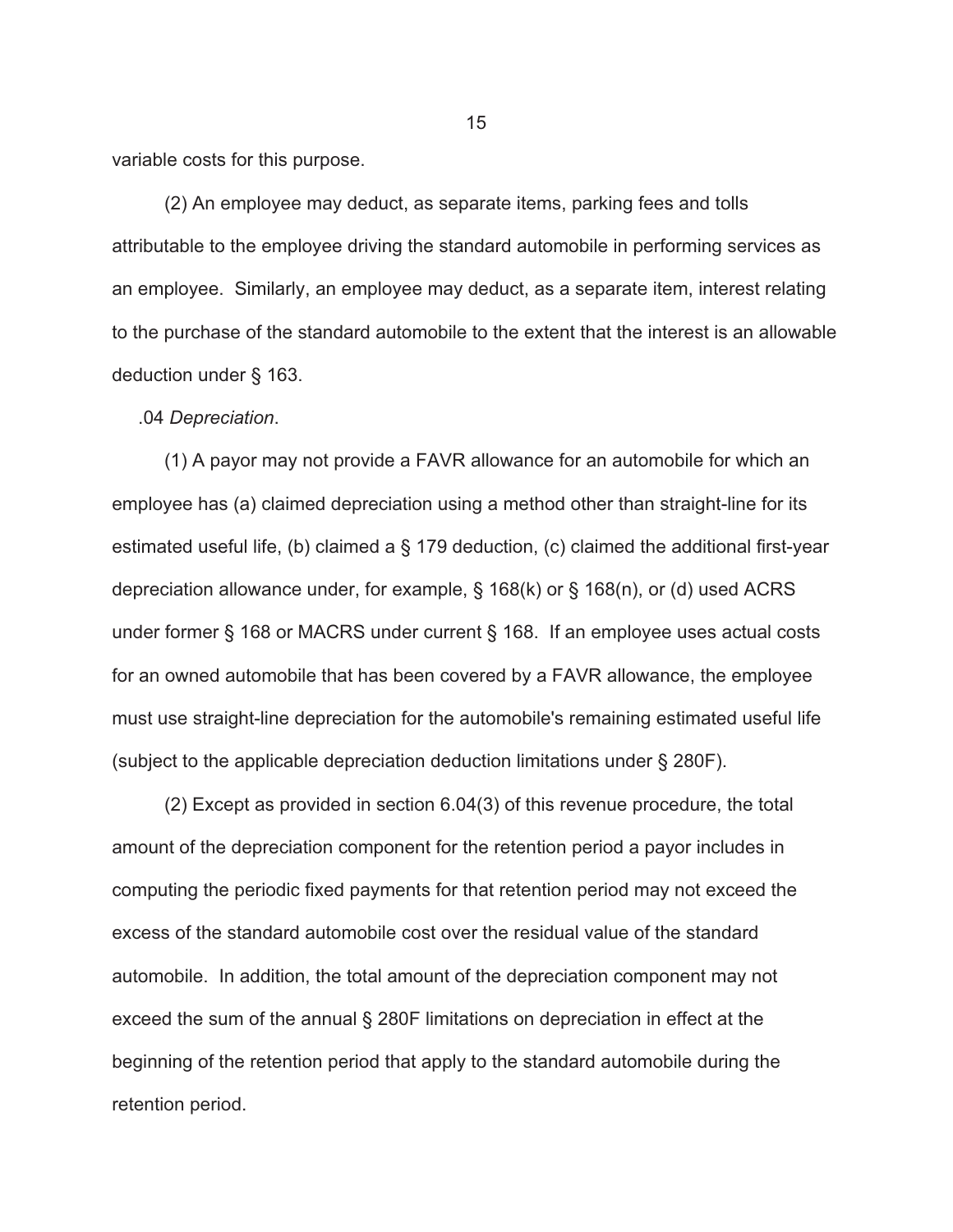variable costs for this purpose.

 (2) An employee may deduct, as separate items, parking fees and tolls attributable to the employee driving the standard automobile in performing services as an employee. Similarly, an employee may deduct, as a separate item, interest relating to the purchase of the standard automobile to the extent that the interest is an allowable deduction under § 163.

.04 *Depreciation*.

 (1) A payor may not provide a FAVR allowance for an automobile for which an employee has (a) claimed depreciation using a method other than straight-line for its estimated useful life, (b) claimed a § 179 deduction, (c) claimed the additional first-year depreciation allowance under, for example, § 168(k) or § 168(n), or (d) used ACRS under former § 168 or MACRS under current § 168. If an employee uses actual costs for an owned automobile that has been covered by a FAVR allowance, the employee must use straight-line depreciation for the automobile's remaining estimated useful life (subject to the applicable depreciation deduction limitations under § 280F).

 (2) Except as provided in section 6.04(3) of this revenue procedure, the total amount of the depreciation component for the retention period a payor includes in computing the periodic fixed payments for that retention period may not exceed the excess of the standard automobile cost over the residual value of the standard automobile. In addition, the total amount of the depreciation component may not exceed the sum of the annual § 280F limitations on depreciation in effect at the beginning of the retention period that apply to the standard automobile during the retention period.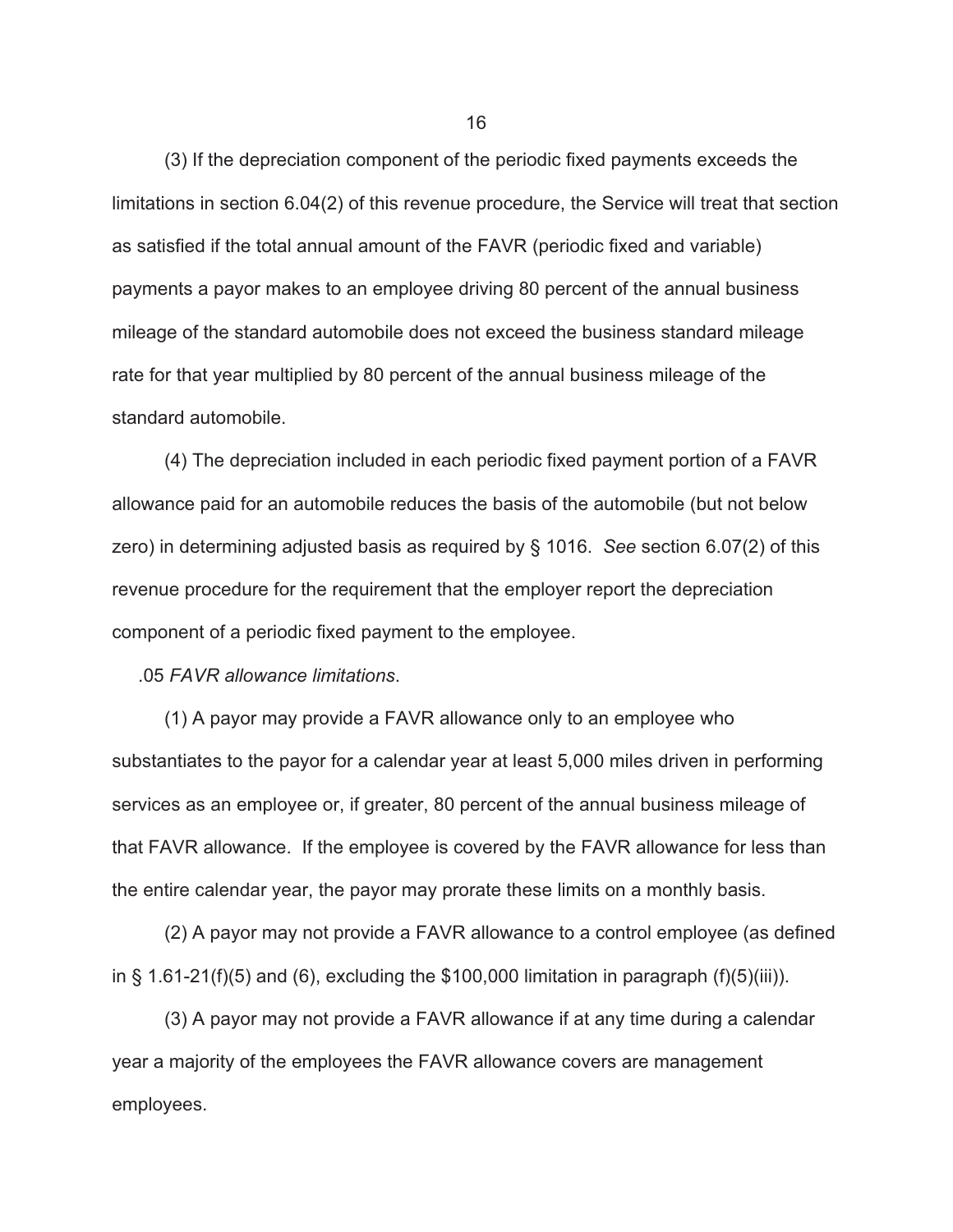(3) If the depreciation component of the periodic fixed payments exceeds the limitations in section 6.04(2) of this revenue procedure, the Service will treat that section as satisfied if the total annual amount of the FAVR (periodic fixed and variable) payments a payor makes to an employee driving 80 percent of the annual business mileage of the standard automobile does not exceed the business standard mileage rate for that year multiplied by 80 percent of the annual business mileage of the standard automobile.

 (4) The depreciation included in each periodic fixed payment portion of a FAVR allowance paid for an automobile reduces the basis of the automobile (but not below zero) in determining adjusted basis as required by § 1016. *See* section 6.07(2) of this revenue procedure for the requirement that the employer report the depreciation component of a periodic fixed payment to the employee.

.05 *FAVR allowance limitations*.

 (1) A payor may provide a FAVR allowance only to an employee who substantiates to the payor for a calendar year at least 5,000 miles driven in performing services as an employee or, if greater, 80 percent of the annual business mileage of that FAVR allowance. If the employee is covered by the FAVR allowance for less than the entire calendar year, the payor may prorate these limits on a monthly basis.

 (2) A payor may not provide a FAVR allowance to a control employee (as defined in § 1.61-21(f)(5) and (6), excluding the \$100,000 limitation in paragraph (f)(5)(iii)).

 (3) A payor may not provide a FAVR allowance if at any time during a calendar year a majority of the employees the FAVR allowance covers are management employees.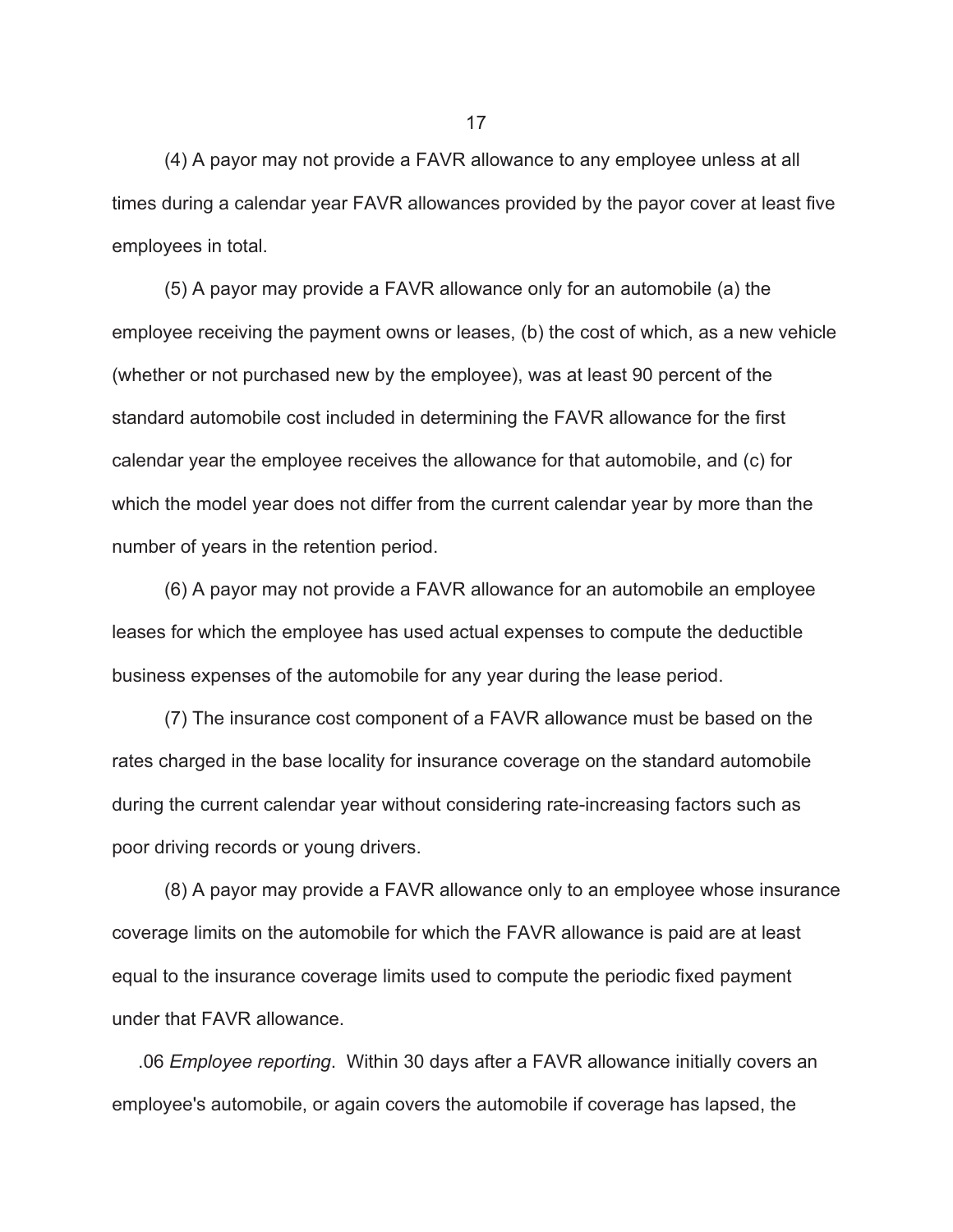(4) A payor may not provide a FAVR allowance to any employee unless at all times during a calendar year FAVR allowances provided by the payor cover at least five employees in total.

 (5) A payor may provide a FAVR allowance only for an automobile (a) the employee receiving the payment owns or leases, (b) the cost of which, as a new vehicle (whether or not purchased new by the employee), was at least 90 percent of the standard automobile cost included in determining the FAVR allowance for the first calendar year the employee receives the allowance for that automobile, and (c) for which the model year does not differ from the current calendar year by more than the number of years in the retention period.

 (6) A payor may not provide a FAVR allowance for an automobile an employee leases for which the employee has used actual expenses to compute the deductible business expenses of the automobile for any year during the lease period.

 (7) The insurance cost component of a FAVR allowance must be based on the rates charged in the base locality for insurance coverage on the standard automobile during the current calendar year without considering rate-increasing factors such as poor driving records or young drivers.

 (8) A payor may provide a FAVR allowance only to an employee whose insurance coverage limits on the automobile for which the FAVR allowance is paid are at least equal to the insurance coverage limits used to compute the periodic fixed payment under that FAVR allowance.

 .06 *Employee reporting*. Within 30 days after a FAVR allowance initially covers an employee's automobile, or again covers the automobile if coverage has lapsed, the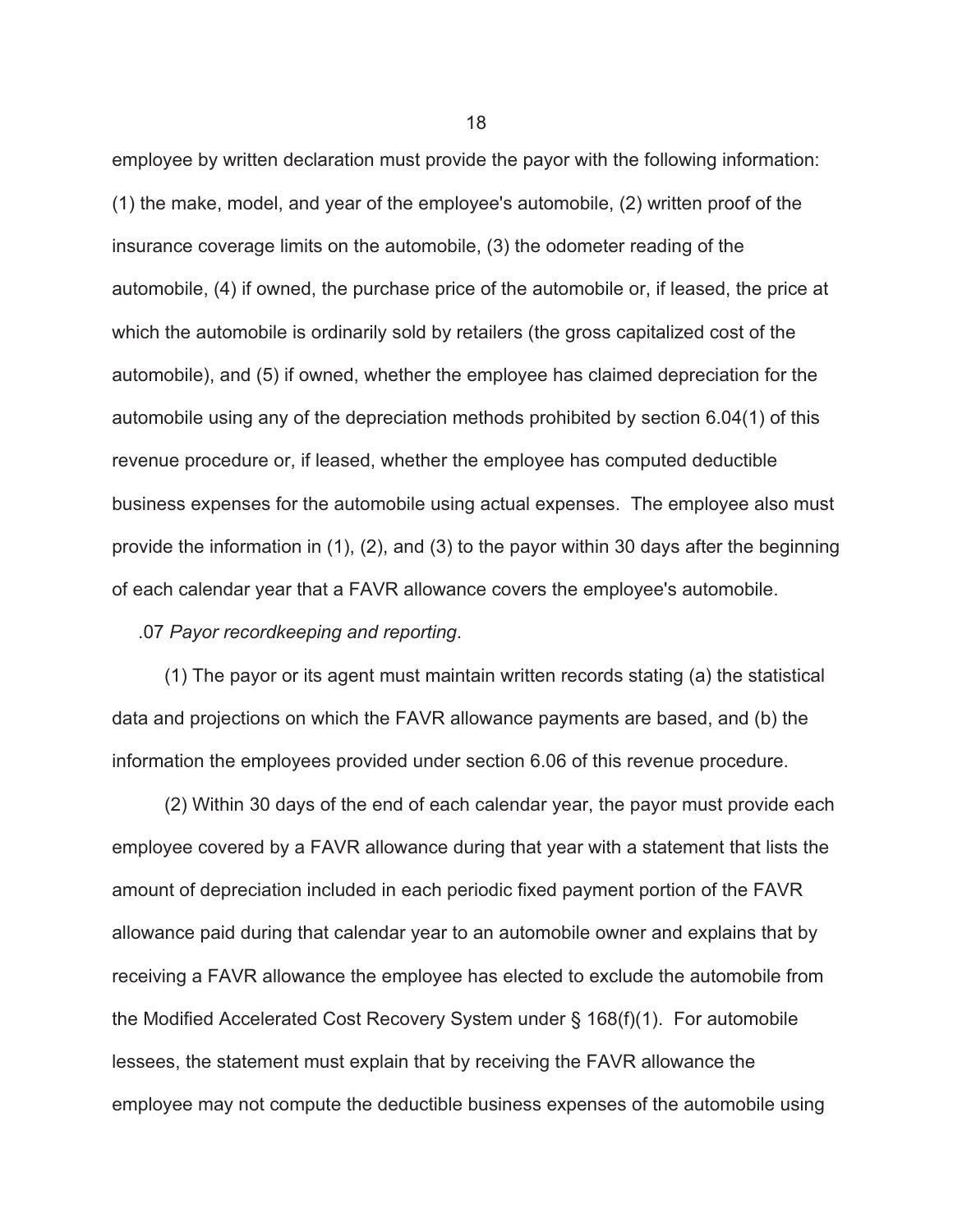employee by written declaration must provide the payor with the following information: (1) the make, model, and year of the employee's automobile, (2) written proof of the insurance coverage limits on the automobile, (3) the odometer reading of the automobile, (4) if owned, the purchase price of the automobile or, if leased, the price at which the automobile is ordinarily sold by retailers (the gross capitalized cost of the automobile), and (5) if owned, whether the employee has claimed depreciation for the automobile using any of the depreciation methods prohibited by section 6.04(1) of this revenue procedure or, if leased, whether the employee has computed deductible business expenses for the automobile using actual expenses. The employee also must provide the information in (1), (2), and (3) to the payor within 30 days after the beginning of each calendar year that a FAVR allowance covers the employee's automobile.

.07 *Payor recordkeeping and reporting*.

 (1) The payor or its agent must maintain written records stating (a) the statistical data and projections on which the FAVR allowance payments are based, and (b) the information the employees provided under section 6.06 of this revenue procedure.

 (2) Within 30 days of the end of each calendar year, the payor must provide each employee covered by a FAVR allowance during that year with a statement that lists the amount of depreciation included in each periodic fixed payment portion of the FAVR allowance paid during that calendar year to an automobile owner and explains that by receiving a FAVR allowance the employee has elected to exclude the automobile from the Modified Accelerated Cost Recovery System under § 168(f)(1). For automobile lessees, the statement must explain that by receiving the FAVR allowance the employee may not compute the deductible business expenses of the automobile using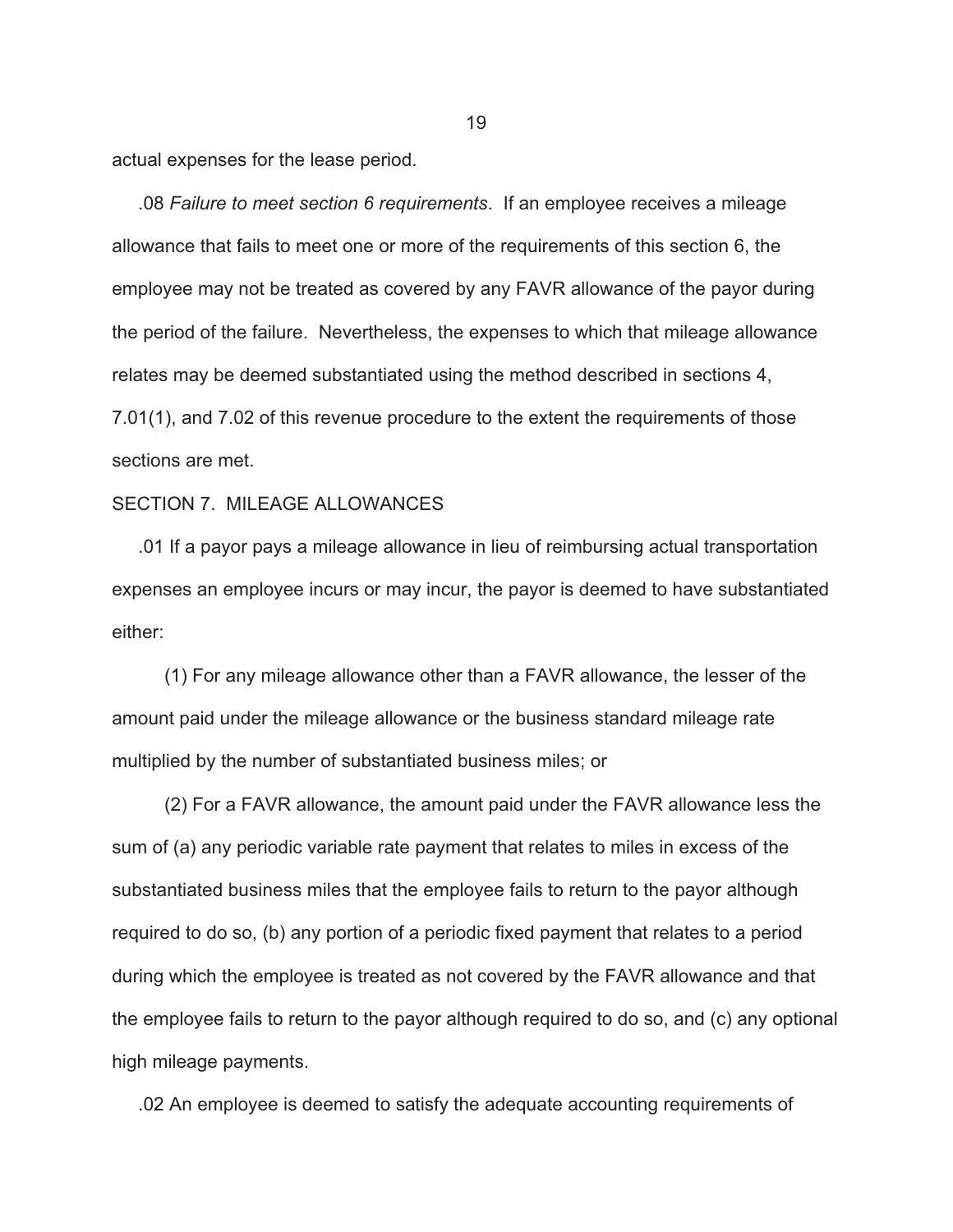actual expenses for the lease period.

 .08 *Failure to meet section 6 requirements*. If an employee receives a mileage allowance that fails to meet one or more of the requirements of this section 6, the employee may not be treated as covered by any FAVR allowance of the payor during the period of the failure. Nevertheless, the expenses to which that mileage allowance relates may be deemed substantiated using the method described in sections 4, 7.01(1), and 7.02 of this revenue procedure to the extent the requirements of those sections are met.

#### SECTION 7. MILEAGE ALLOWANCES

 .01 If a payor pays a mileage allowance in lieu of reimbursing actual transportation expenses an employee incurs or may incur, the payor is deemed to have substantiated either:

 (1) For any mileage allowance other than a FAVR allowance, the lesser of the amount paid under the mileage allowance or the business standard mileage rate multiplied by the number of substantiated business miles; or

 (2) For a FAVR allowance, the amount paid under the FAVR allowance less the sum of (a) any periodic variable rate payment that relates to miles in excess of the substantiated business miles that the employee fails to return to the payor although required to do so, (b) any portion of a periodic fixed payment that relates to a period during which the employee is treated as not covered by the FAVR allowance and that the employee fails to return to the payor although required to do so, and (c) any optional high mileage payments.

.02 An employee is deemed to satisfy the adequate accounting requirements of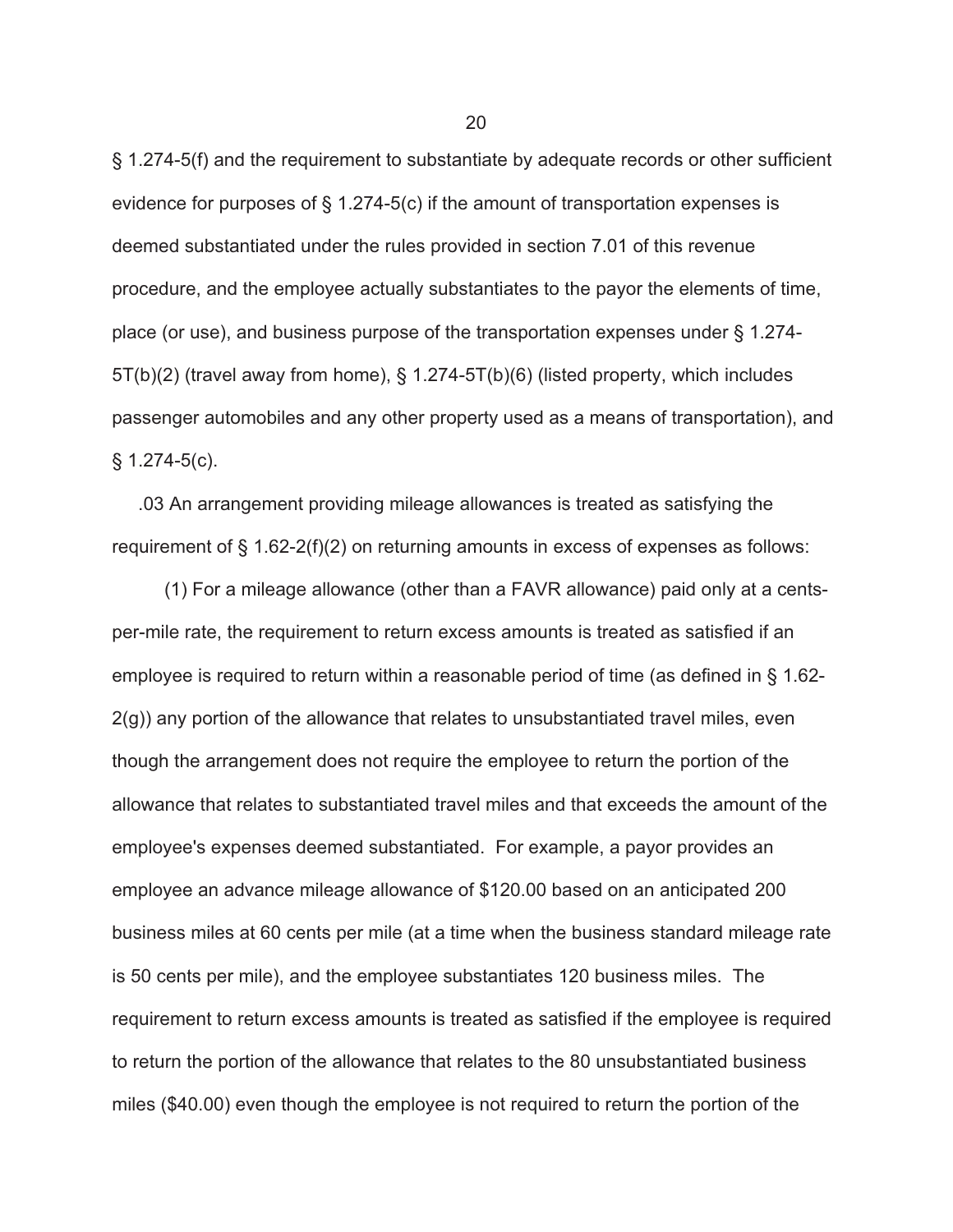§ 1.274-5(f) and the requirement to substantiate by adequate records or other sufficient evidence for purposes of § 1.274-5(c) if the amount of transportation expenses is deemed substantiated under the rules provided in section 7.01 of this revenue procedure, and the employee actually substantiates to the payor the elements of time, place (or use), and business purpose of the transportation expenses under § 1.274- 5T(b)(2) (travel away from home), § 1.274-5T(b)(6) (listed property, which includes passenger automobiles and any other property used as a means of transportation), and  $§ 1.274-5(c).$ 

 .03 An arrangement providing mileage allowances is treated as satisfying the requirement of § 1.62-2(f)(2) on returning amounts in excess of expenses as follows:

 (1) For a mileage allowance (other than a FAVR allowance) paid only at a centsper-mile rate, the requirement to return excess amounts is treated as satisfied if an employee is required to return within a reasonable period of time (as defined in § 1.62-  $2(g)$ ) any portion of the allowance that relates to unsubstantiated travel miles, even though the arrangement does not require the employee to return the portion of the allowance that relates to substantiated travel miles and that exceeds the amount of the employee's expenses deemed substantiated. For example, a payor provides an employee an advance mileage allowance of \$120.00 based on an anticipated 200 business miles at 60 cents per mile (at a time when the business standard mileage rate is 50 cents per mile), and the employee substantiates 120 business miles. The requirement to return excess amounts is treated as satisfied if the employee is required to return the portion of the allowance that relates to the 80 unsubstantiated business miles (\$40.00) even though the employee is not required to return the portion of the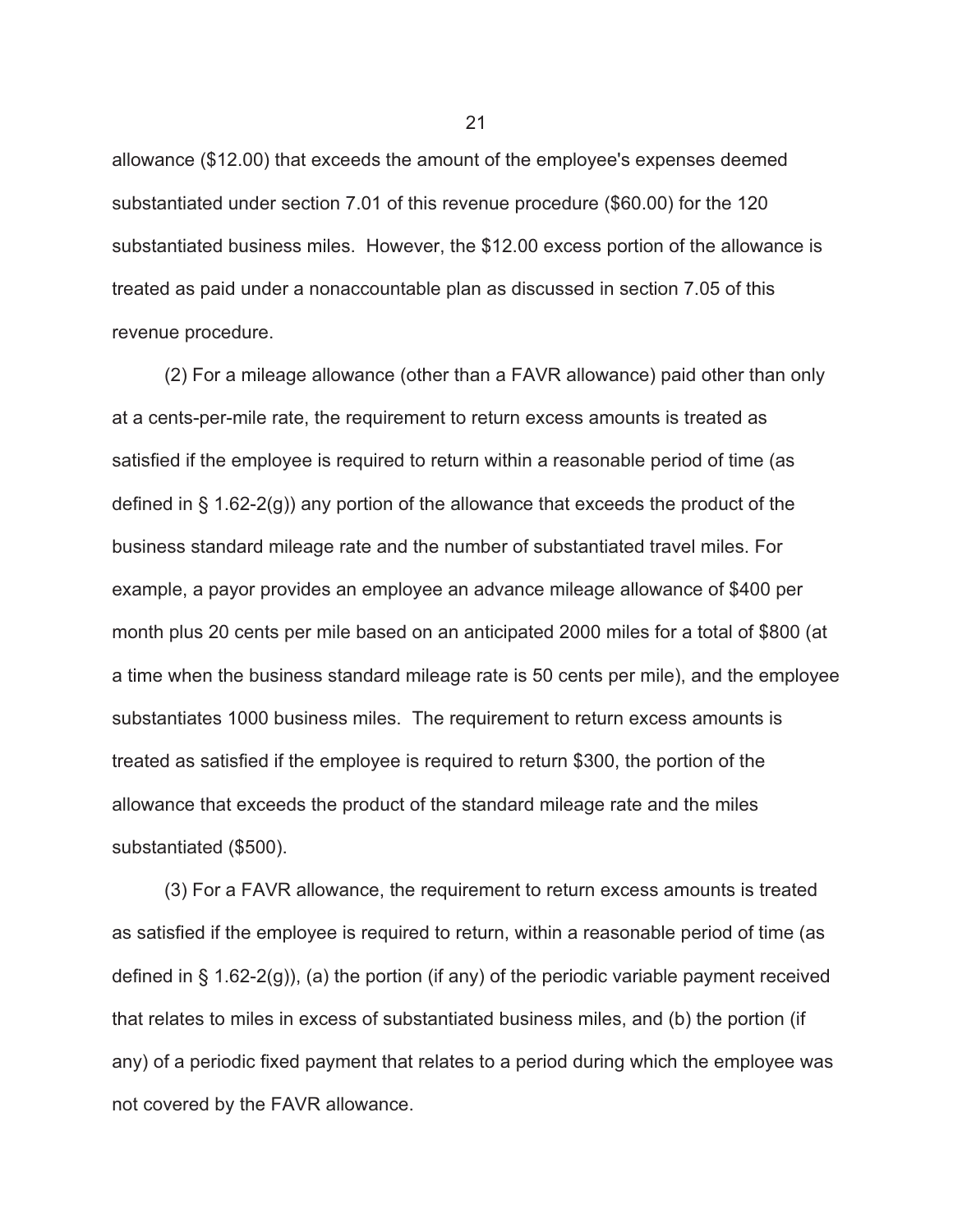allowance (\$12.00) that exceeds the amount of the employee's expenses deemed substantiated under section 7.01 of this revenue procedure (\$60.00) for the 120 substantiated business miles. However, the \$12.00 excess portion of the allowance is treated as paid under a nonaccountable plan as discussed in section 7.05 of this revenue procedure.

 (2) For a mileage allowance (other than a FAVR allowance) paid other than only at a cents-per-mile rate, the requirement to return excess amounts is treated as satisfied if the employee is required to return within a reasonable period of time (as defined in § 1.62-2(g)) any portion of the allowance that exceeds the product of the business standard mileage rate and the number of substantiated travel miles. For example, a payor provides an employee an advance mileage allowance of \$400 per month plus 20 cents per mile based on an anticipated 2000 miles for a total of \$800 (at a time when the business standard mileage rate is 50 cents per mile), and the employee substantiates 1000 business miles. The requirement to return excess amounts is treated as satisfied if the employee is required to return \$300, the portion of the allowance that exceeds the product of the standard mileage rate and the miles substantiated (\$500).

 (3) For a FAVR allowance, the requirement to return excess amounts is treated as satisfied if the employee is required to return, within a reasonable period of time (as defined in  $\S$  1.62-2(g)), (a) the portion (if any) of the periodic variable payment received that relates to miles in excess of substantiated business miles, and (b) the portion (if any) of a periodic fixed payment that relates to a period during which the employee was not covered by the FAVR allowance.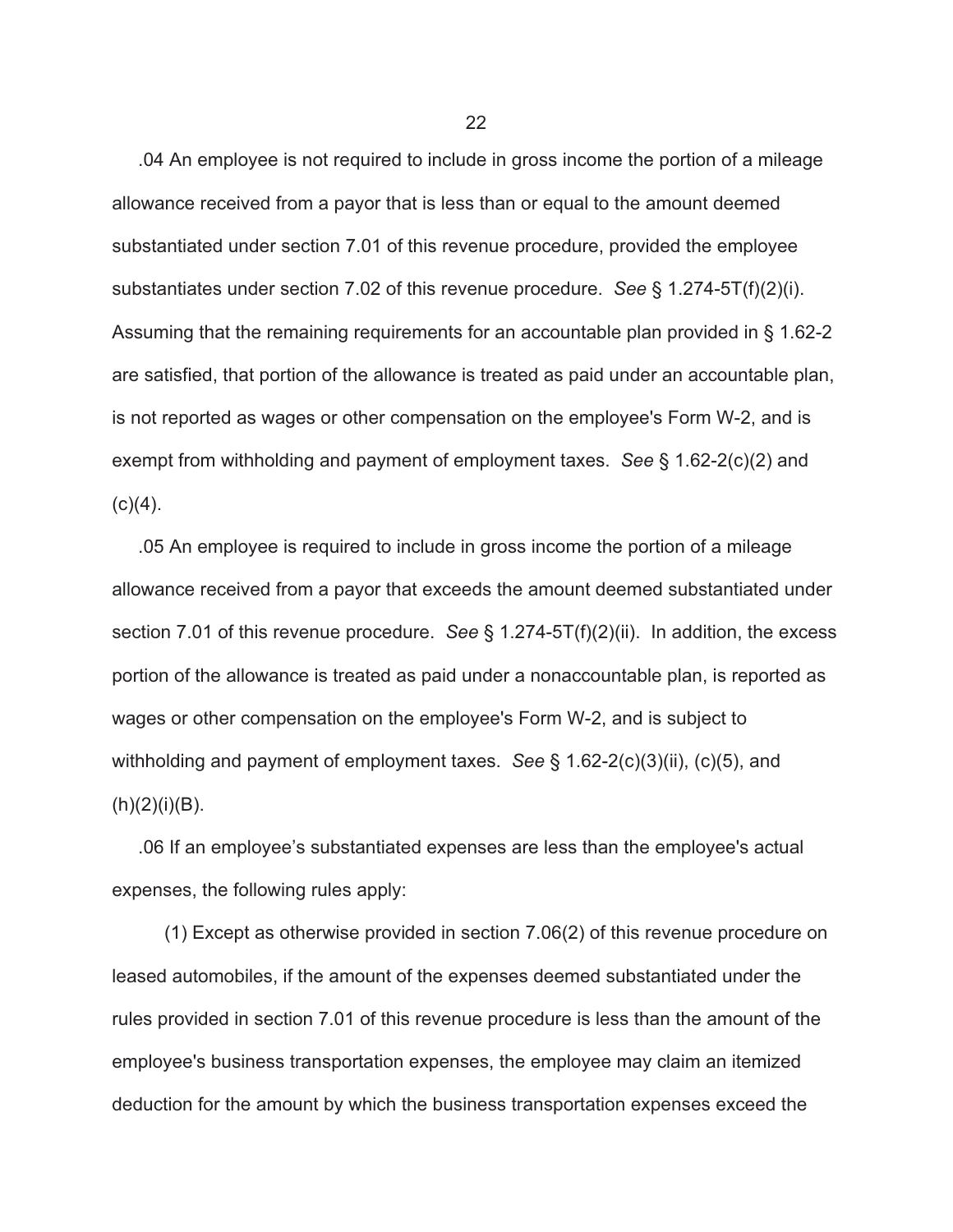.04 An employee is not required to include in gross income the portion of a mileage allowance received from a payor that is less than or equal to the amount deemed substantiated under section 7.01 of this revenue procedure, provided the employee substantiates under section 7.02 of this revenue procedure. *See* § 1.274-5T(f)(2)(i). Assuming that the remaining requirements for an accountable plan provided in § 1.62-2 are satisfied, that portion of the allowance is treated as paid under an accountable plan, is not reported as wages or other compensation on the employee's Form W-2, and is exempt from withholding and payment of employment taxes. *See* § 1.62-2(c)(2) and  $(c)(4)$ .

 .05 An employee is required to include in gross income the portion of a mileage allowance received from a payor that exceeds the amount deemed substantiated under section 7.01 of this revenue procedure. *See* § 1.274-5T(f)(2)(ii). In addition, the excess portion of the allowance is treated as paid under a nonaccountable plan, is reported as wages or other compensation on the employee's Form W-2, and is subject to withholding and payment of employment taxes. *See* § 1.62-2(c)(3)(ii), (c)(5), and  $(h)(2)(i)(B)$ .

 .06 If an employee's substantiated expenses are less than the employee's actual expenses, the following rules apply:

 (1) Except as otherwise provided in section 7.06(2) of this revenue procedure on leased automobiles, if the amount of the expenses deemed substantiated under the rules provided in section 7.01 of this revenue procedure is less than the amount of the employee's business transportation expenses, the employee may claim an itemized deduction for the amount by which the business transportation expenses exceed the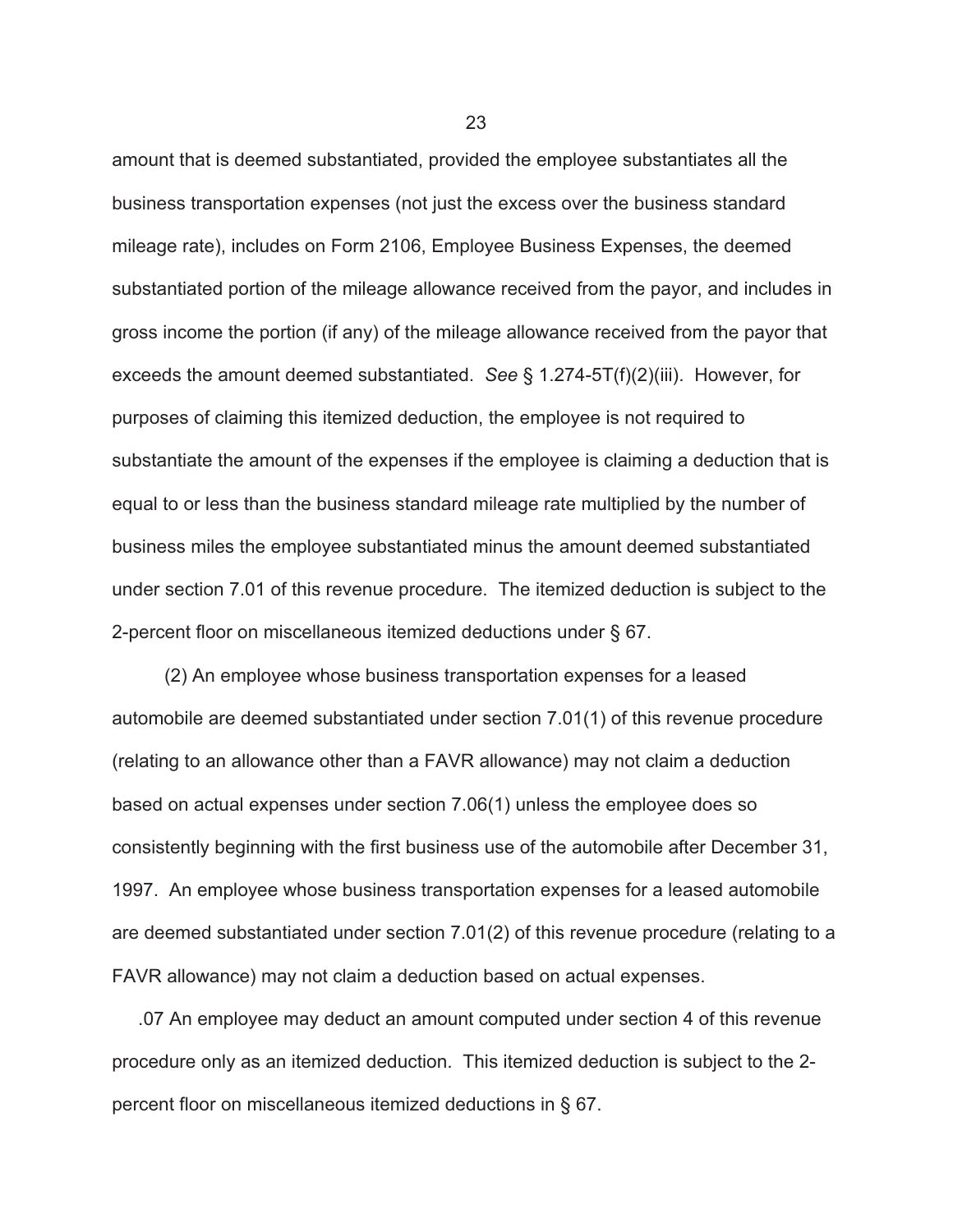amount that is deemed substantiated, provided the employee substantiates all the business transportation expenses (not just the excess over the business standard mileage rate), includes on Form 2106, Employee Business Expenses, the deemed substantiated portion of the mileage allowance received from the payor, and includes in gross income the portion (if any) of the mileage allowance received from the payor that exceeds the amount deemed substantiated. *See* § 1.274-5T(f)(2)(iii). However, for purposes of claiming this itemized deduction, the employee is not required to substantiate the amount of the expenses if the employee is claiming a deduction that is equal to or less than the business standard mileage rate multiplied by the number of business miles the employee substantiated minus the amount deemed substantiated under section 7.01 of this revenue procedure. The itemized deduction is subject to the 2-percent floor on miscellaneous itemized deductions under § 67.

 (2) An employee whose business transportation expenses for a leased automobile are deemed substantiated under section 7.01(1) of this revenue procedure (relating to an allowance other than a FAVR allowance) may not claim a deduction based on actual expenses under section 7.06(1) unless the employee does so consistently beginning with the first business use of the automobile after December 31, 1997. An employee whose business transportation expenses for a leased automobile are deemed substantiated under section 7.01(2) of this revenue procedure (relating to a FAVR allowance) may not claim a deduction based on actual expenses.

 .07 An employee may deduct an amount computed under section 4 of this revenue procedure only as an itemized deduction. This itemized deduction is subject to the 2 percent floor on miscellaneous itemized deductions in § 67.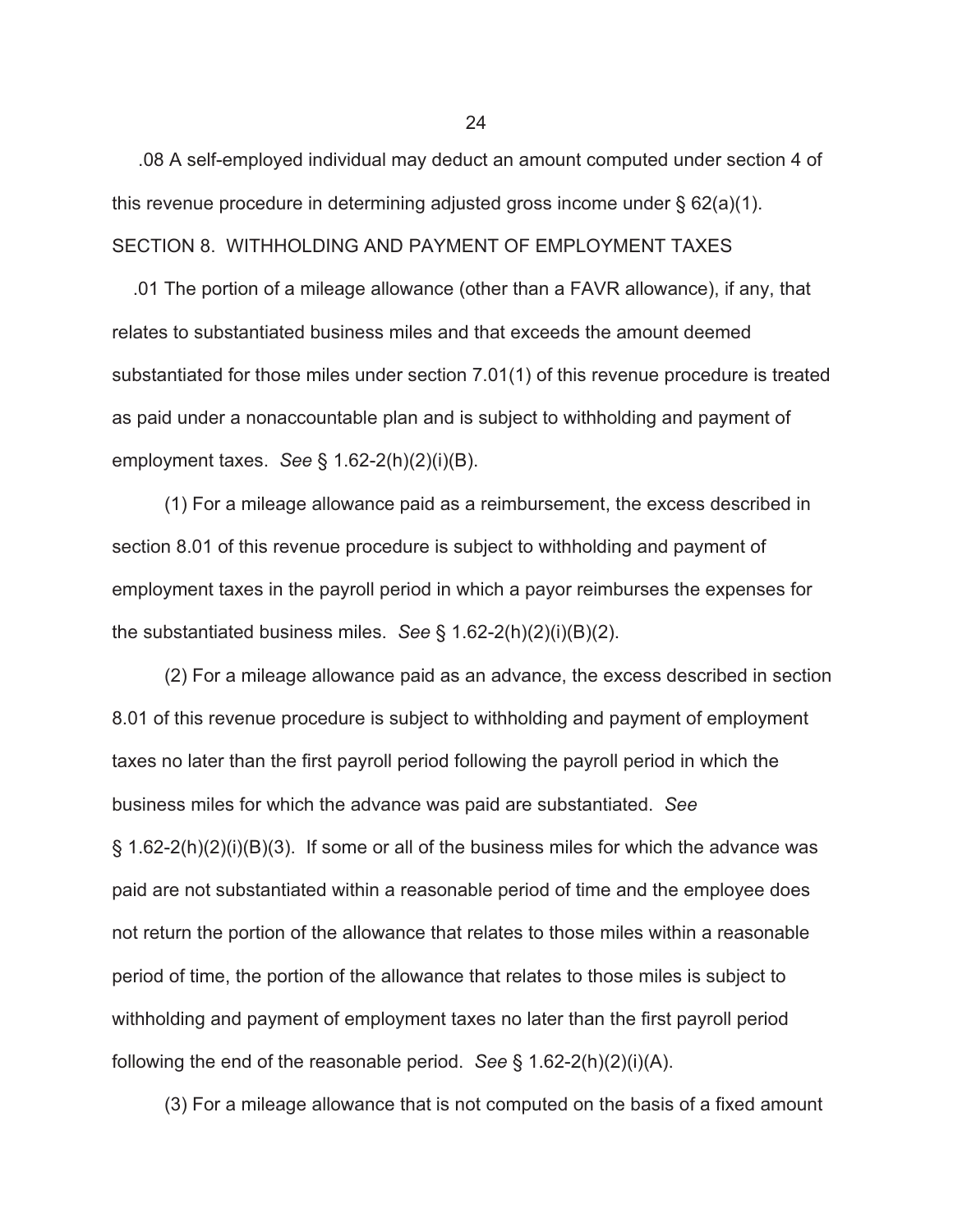.08 A self-employed individual may deduct an amount computed under section 4 of this revenue procedure in determining adjusted gross income under  $\S 62(a)(1)$ . SECTION 8. WITHHOLDING AND PAYMENT OF EMPLOYMENT TAXES

 .01 The portion of a mileage allowance (other than a FAVR allowance), if any, that relates to substantiated business miles and that exceeds the amount deemed substantiated for those miles under section 7.01(1) of this revenue procedure is treated as paid under a nonaccountable plan and is subject to withholding and payment of employment taxes. *See* § 1.62-2(h)(2)(i)(B).

 (1) For a mileage allowance paid as a reimbursement, the excess described in section 8.01 of this revenue procedure is subject to withholding and payment of employment taxes in the payroll period in which a payor reimburses the expenses for the substantiated business miles. *See* § 1.62-2(h)(2)(i)(B)(2).

 (2) For a mileage allowance paid as an advance, the excess described in section 8.01 of this revenue procedure is subject to withholding and payment of employment taxes no later than the first payroll period following the payroll period in which the business miles for which the advance was paid are substantiated. *See*  $\S$  1.62-2(h)(2)(i)(B)(3). If some or all of the business miles for which the advance was paid are not substantiated within a reasonable period of time and the employee does not return the portion of the allowance that relates to those miles within a reasonable period of time, the portion of the allowance that relates to those miles is subject to withholding and payment of employment taxes no later than the first payroll period following the end of the reasonable period. *See* § 1.62-2(h)(2)(i)(A).

(3) For a mileage allowance that is not computed on the basis of a fixed amount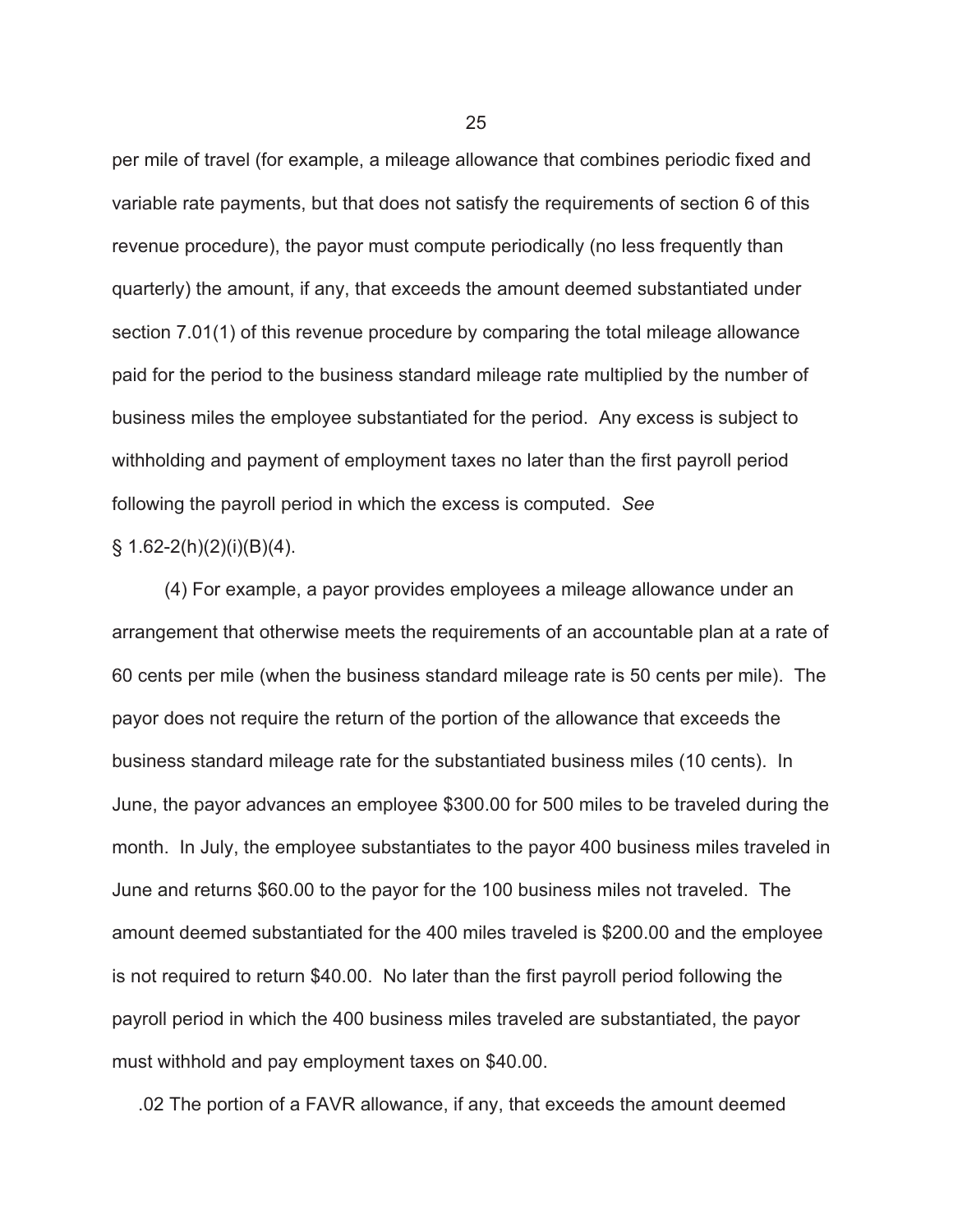per mile of travel (for example, a mileage allowance that combines periodic fixed and variable rate payments, but that does not satisfy the requirements of section 6 of this revenue procedure), the payor must compute periodically (no less frequently than quarterly) the amount, if any, that exceeds the amount deemed substantiated under section 7.01(1) of this revenue procedure by comparing the total mileage allowance paid for the period to the business standard mileage rate multiplied by the number of business miles the employee substantiated for the period. Any excess is subject to withholding and payment of employment taxes no later than the first payroll period following the payroll period in which the excess is computed. *See*

### $\S$  1.62-2(h)(2)(i)(B)(4).

 (4) For example, a payor provides employees a mileage allowance under an arrangement that otherwise meets the requirements of an accountable plan at a rate of 60 cents per mile (when the business standard mileage rate is 50 cents per mile). The payor does not require the return of the portion of the allowance that exceeds the business standard mileage rate for the substantiated business miles (10 cents). In June, the payor advances an employee \$300.00 for 500 miles to be traveled during the month. In July, the employee substantiates to the payor 400 business miles traveled in June and returns \$60.00 to the payor for the 100 business miles not traveled. The amount deemed substantiated for the 400 miles traveled is \$200.00 and the employee is not required to return \$40.00. No later than the first payroll period following the payroll period in which the 400 business miles traveled are substantiated, the payor must withhold and pay employment taxes on \$40.00.

.02 The portion of a FAVR allowance, if any, that exceeds the amount deemed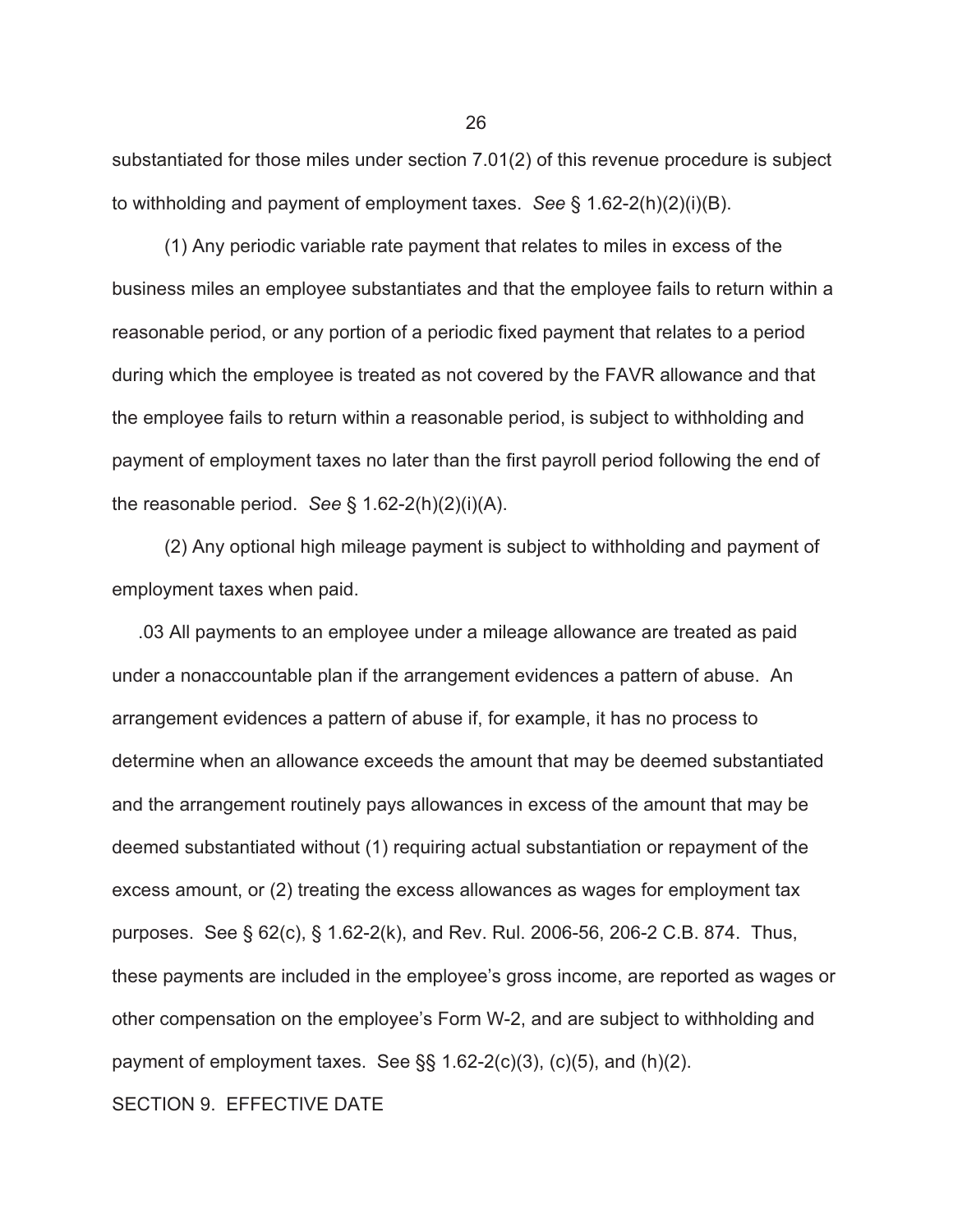substantiated for those miles under section 7.01(2) of this revenue procedure is subject to withholding and payment of employment taxes. *See* § 1.62-2(h)(2)(i)(B).

 (1) Any periodic variable rate payment that relates to miles in excess of the business miles an employee substantiates and that the employee fails to return within a reasonable period, or any portion of a periodic fixed payment that relates to a period during which the employee is treated as not covered by the FAVR allowance and that the employee fails to return within a reasonable period, is subject to withholding and payment of employment taxes no later than the first payroll period following the end of the reasonable period. *See* § 1.62-2(h)(2)(i)(A).

 (2) Any optional high mileage payment is subject to withholding and payment of employment taxes when paid.

 .03 All payments to an employee under a mileage allowance are treated as paid under a nonaccountable plan if the arrangement evidences a pattern of abuse. An arrangement evidences a pattern of abuse if, for example, it has no process to determine when an allowance exceeds the amount that may be deemed substantiated and the arrangement routinely pays allowances in excess of the amount that may be deemed substantiated without (1) requiring actual substantiation or repayment of the excess amount, or (2) treating the excess allowances as wages for employment tax purposes. See § 62(c), § 1.62-2(k), and Rev. Rul. 2006-56, 206-2 C.B. 874. Thus, these payments are included in the employee's gross income, are reported as wages or other compensation on the employee's Form W-2, and are subject to withholding and payment of employment taxes. See  $\S$ § 1.62-2(c)(3), (c)(5), and (h)(2).

SECTION 9. EFFECTIVE DATE